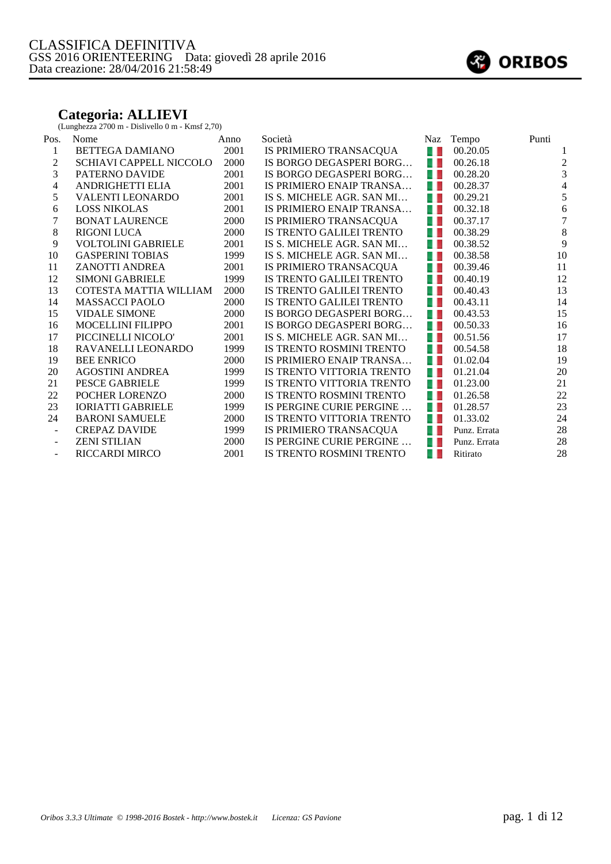#### **Categoria: ALLIEVI**

(Lunghezza 2700 m - Dislivello 0 m - Kmsf 2,70)

| Pos.                     | Nome                      | Anno | Società                   | Naz | Tempo        | Punti          |
|--------------------------|---------------------------|------|---------------------------|-----|--------------|----------------|
| 1                        | BETTEGA DAMIANO           | 2001 | IS PRIMIERO TRANSACQUA    | 41  | 00.20.05     | 1              |
| 2                        | SCHIAVI CAPPELL NICCOLO   | 2000 | IS BORGO DEGASPERI BORG   | 41  | 00.26.18     | $\mathbf{2}$   |
| 3                        | PATERNO DAVIDE            | 2001 | IS BORGO DEGASPERI BORG   | 41  | 00.28.20     | 3              |
| 4                        | <b>ANDRIGHETTI ELIA</b>   | 2001 | IS PRIMIERO ENAIP TRANSA  | 41  | 00.28.37     | $\overline{4}$ |
| 5                        | <b>VALENTI LEONARDO</b>   | 2001 | IS S. MICHELE AGR. SAN MI | a L | 00.29.21     | 5              |
| 6                        | <b>LOSS NIKOLAS</b>       | 2001 | IS PRIMIERO ENAIP TRANSA  | 41  | 00.32.18     | $\sqrt{6}$     |
| 7                        | <b>BONAT LAURENCE</b>     | 2000 | IS PRIMIERO TRANSACQUA    | a L | 00.37.17     | $\tau$         |
| 8                        | <b>RIGONI LUCA</b>        | 2000 | IS TRENTO GALILEI TRENTO  | 41  | 00.38.29     | $\,8\,$        |
| 9                        | <b>VOLTOLINI GABRIELE</b> | 2001 | IS S. MICHELE AGR. SAN MI | 41  | 00.38.52     | 9              |
| 10                       | <b>GASPERINI TOBIAS</b>   | 1999 | IS S. MICHELE AGR. SAN MI | 41  | 00.38.58     | 10             |
| 11                       | ZANOTTI ANDREA            | 2001 | IS PRIMIERO TRANSACQUA    | 41  | 00.39.46     | 11             |
| 12                       | <b>SIMONI GABRIELE</b>    | 1999 | IS TRENTO GALILEI TRENTO  | 41  | 00.40.19     | 12             |
| 13                       | COTESTA MATTIA WILLIAM    | 2000 | IS TRENTO GALILEI TRENTO  | 41  | 00.40.43     | 13             |
| 14                       | <b>MASSACCI PAOLO</b>     | 2000 | IS TRENTO GALILEI TRENTO  | 4 E | 00.43.11     | 14             |
| 15                       | <b>VIDALE SIMONE</b>      | 2000 | IS BORGO DEGASPERI BORG   | 41  | 00.43.53     | 15             |
| 16                       | <b>MOCELLINI FILIPPO</b>  | 2001 | IS BORGO DEGASPERI BORG   | 41  | 00.50.33     | 16             |
| 17                       | PICCINELLI NICOLO'        | 2001 | IS S. MICHELE AGR. SAN MI | 41  | 00.51.56     | 17             |
| 18                       | RAVANELLI LEONARDO        | 1999 | IS TRENTO ROSMINI TRENTO  | 41  | 00.54.58     | 18             |
| 19                       | <b>BEE ENRICO</b>         | 2000 | IS PRIMIERO ENAIP TRANSA  | 4 L | 01.02.04     | 19             |
| 20                       | <b>AGOSTINI ANDREA</b>    | 1999 | IS TRENTO VITTORIA TRENTO | 41  | 01.21.04     | 20             |
| 21                       | <b>PESCE GABRIELE</b>     | 1999 | IS TRENTO VITTORIA TRENTO | 41  | 01.23.00     | 21             |
| 22                       | POCHER LORENZO            | 2000 | IS TRENTO ROSMINI TRENTO  | 41  | 01.26.58     | $22\,$         |
| 23                       | <b>IORIATTI GABRIELE</b>  | 1999 | IS PERGINE CURIE PERGINE  | 41  | 01.28.57     | 23             |
| 24                       | <b>BARONI SAMUELE</b>     | 2000 | IS TRENTO VITTORIA TRENTO | 41  | 01.33.02     | 24             |
| $\overline{\phantom{a}}$ | <b>CREPAZ DAVIDE</b>      | 1999 | IS PRIMIERO TRANSACQUA    | a L | Punz. Errata | 28             |
|                          | <b>ZENI STILIAN</b>       | 2000 | IS PERGINE CURIE PERGINE  | w   | Punz. Errata | 28             |
| $\overline{\phantom{a}}$ | <b>RICCARDI MIRCO</b>     | 2001 | IS TRENTO ROSMINI TRENTO  | OD  | Ritirato     | 28             |

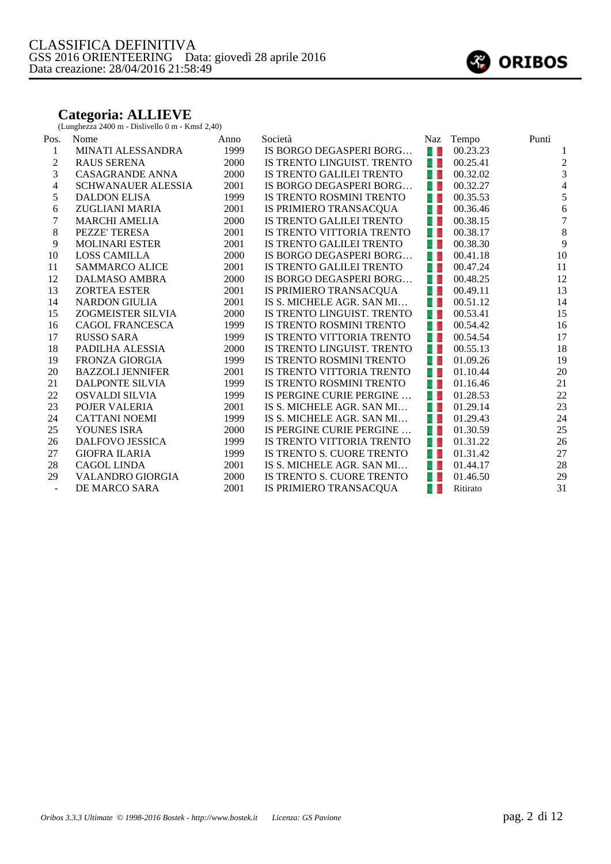#### **Categoria: ALLIEVE**

(Lunghezza 2400 m - Dislivello 0 m - Kmsf 2,40)

| Pos.    | Nome                      | Anno | Società                    | Naz  | Tempo    | Punti            |
|---------|---------------------------|------|----------------------------|------|----------|------------------|
| 1       | MINATI ALESSANDRA         | 1999 | IS BORGO DEGASPERI BORG    | 41   | 00.23.23 |                  |
| 2       | <b>RAUS SERENA</b>        | 2000 | IS TRENTO LINGUIST. TRENTO | 41   | 00.25.41 | $\boldsymbol{2}$ |
| 3       | CASAGRANDE ANNA           | 2000 | IS TRENTO GALILEI TRENTO   | a L  | 00.32.02 | 3                |
| 4       | <b>SCHWANAUER ALESSIA</b> | 2001 | IS BORGO DEGASPERI BORG    | u p  | 00.32.27 | $\overline{4}$   |
| 5       | <b>DALDON ELISA</b>       | 1999 | IS TRENTO ROSMINI TRENTO   | 41   | 00.35.53 | $\mathfrak s$    |
| 6       | ZUGLIANI MARIA            | 2001 | IS PRIMIERO TRANSACQUA     | u p  | 00.36.46 | $\sqrt{6}$       |
| 7       | <b>MARCHI AMELIA</b>      | 2000 | IS TRENTO GALILEI TRENTO   | 41   | 00.38.15 | $\boldsymbol{7}$ |
| $\,8\,$ | PEZZE' TERESA             | 2001 | IS TRENTO VITTORIA TRENTO  | 41   | 00.38.17 | $\,8\,$          |
| 9       | <b>MOLINARI ESTER</b>     | 2001 | IS TRENTO GALILEI TRENTO   | 41   | 00.38.30 | 9                |
| 10      | <b>LOSS CAMILLA</b>       | 2000 | IS BORGO DEGASPERI BORG    | 41   | 00.41.18 | 10               |
| 11      | <b>SAMMARCO ALICE</b>     | 2001 | IS TRENTO GALILEI TRENTO   | a L  | 00.47.24 | 11               |
| 12      | DALMASO AMBRA             | 2000 | IS BORGO DEGASPERI BORG    | - 1  | 00.48.25 | 12               |
| 13      | <b>ZORTEA ESTER</b>       | 2001 | IS PRIMIERO TRANSACQUA     | a L  | 00.49.11 | 13               |
| 14      | <b>NARDON GIULIA</b>      | 2001 | IS S. MICHELE AGR. SAN MI  | a L  | 00.51.12 | 14               |
| 15      | ZOGMEISTER SILVIA         | 2000 | IS TRENTO LINGUIST. TRENTO | 41   | 00.53.41 | 15               |
| 16      | <b>CAGOL FRANCESCA</b>    | 1999 | IS TRENTO ROSMINI TRENTO   | 41   | 00.54.42 | 16               |
| 17      | <b>RUSSO SARA</b>         | 1999 | IS TRENTO VITTORIA TRENTO  | a, L | 00.54.54 | 17               |
| 18      | PADILHA ALESSIA           | 2000 | IS TRENTO LINGUIST. TRENTO | 41   | 00.55.13 | 18               |
| 19      | <b>FRONZA GIORGIA</b>     | 1999 | IS TRENTO ROSMINI TRENTO   | 41   | 01.09.26 | 19               |
| 20      | <b>BAZZOLI JENNIFER</b>   | 2001 | IS TRENTO VITTORIA TRENTO  | a L  | 01.10.44 | 20               |
| 21      | DALPONTE SILVIA           | 1999 | IS TRENTO ROSMINI TRENTO   | 41   | 01.16.46 | 21               |
| 22      | OSVALDI SILVIA            | 1999 | IS PERGINE CURIE PERGINE   | a N  | 01.28.53 | 22               |
| 23      | POJER VALERIA             | 2001 | IS S. MICHELE AGR. SAN MI  | 41   | 01.29.14 | 23               |
| 24      | <b>CATTANI NOEMI</b>      | 1999 | IS S. MICHELE AGR. SAN MI  | 41   | 01.29.43 | 24               |
| 25      | YOUNES ISRA               | 2000 | IS PERGINE CURIE PERGINE   | a N  | 01.30.59 | 25               |
| 26      | DALFOVO JESSICA           | 1999 | IS TRENTO VITTORIA TRENTO  | 41   | 01.31.22 | 26               |
| 27      | <b>GIOFRA ILARIA</b>      | 1999 | IS TRENTO S. CUORE TRENTO  | 41   | 01.31.42 | 27               |
| 28      | <b>CAGOL LINDA</b>        | 2001 | IS S. MICHELE AGR. SAN MI  | 41   | 01.44.17 | 28               |
| 29      | <b>VALANDRO GIORGIA</b>   | 2000 | IS TRENTO S. CUORE TRENTO  | 41   | 01.46.50 | 29               |
|         | DE MARCO SARA             | 2001 | IS PRIMIERO TRANSACQUA     | 41   | Ritirato | 31               |

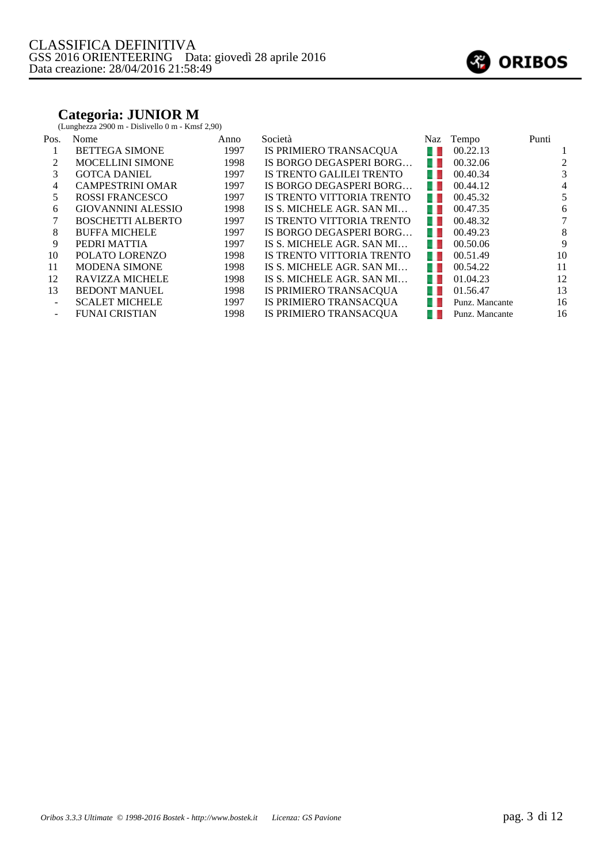### **Categoria: JUNIOR M**

(Lunghezza 2900 m - Dislivello 0 m - Kmsf 2,90)

| Pos.   | Nome                      | Anno | Società                   | Naz   | Tempo          | Punti  |
|--------|---------------------------|------|---------------------------|-------|----------------|--------|
|        | <b>BETTEGA SIMONE</b>     | 1997 | IS PRIMIERO TRANSACQUA    | u.    | 00.22.13       |        |
|        | <b>MOCELLINI SIMONE</b>   | 1998 | IS BORGO DEGASPERI BORG   | . .   | 00.32.06       | 2      |
| 3      | <b>GOTCA DANIEL</b>       | 1997 | IS TRENTO GALILEI TRENTO  | . .   | 00.40.34       | 3      |
| 4      | <b>CAMPESTRINI OMAR</b>   | 1997 | IS BORGO DEGASPERI BORG   | . .   | 00.44.12       | 4      |
| 5      | <b>ROSSI FRANCESCO</b>    | 1997 | IS TRENTO VITTORIA TRENTO | . .   | 00.45.32       | 5      |
| 6      | <b>GIOVANNINI ALESSIO</b> | 1998 | IS S. MICHELE AGR. SAN MI | . .   | 00.47.35       | 6      |
|        | <b>BOSCHETTI ALBERTO</b>  | 1997 | IS TRENTO VITTORIA TRENTO | . .   | 00.48.32       | $\tau$ |
| 8      | <b>BUFFA MICHELE</b>      | 1997 | IS BORGO DEGASPERI BORG   | . .   | 00.49.23       | 8      |
| 9      | PEDRI MATTIA              | 1997 | IS S. MICHELE AGR. SAN MI | a pro | 00.50.06       | 9      |
| 10     | POLATO LORENZO            | 1998 | IS TRENTO VITTORIA TRENTO | w     | 00.51.49       | 10     |
| 11     | <b>MODENA SIMONE</b>      | 1998 | IS S. MICHELE AGR. SAN MI | . .   | 00.54.22       | 11     |
| 12     | <b>RAVIZZA MICHELE</b>    | 1998 | IS S. MICHELE AGR. SAN MI | w     | 01.04.23       | 12     |
| 13     | <b>BEDONT MANUEL</b>      | 1998 | IS PRIMIERO TRANSACQUA    | w     | 01.56.47       | 13     |
| $\sim$ | <b>SCALET MICHELE</b>     | 1997 | IS PRIMIERO TRANSACQUA    | . .   | Punz. Mancante | 16     |
|        | <b>FUNAI CRISTIAN</b>     | 1998 | IS PRIMIERO TRANSACQUA    |       | Punz. Mancante | 16     |

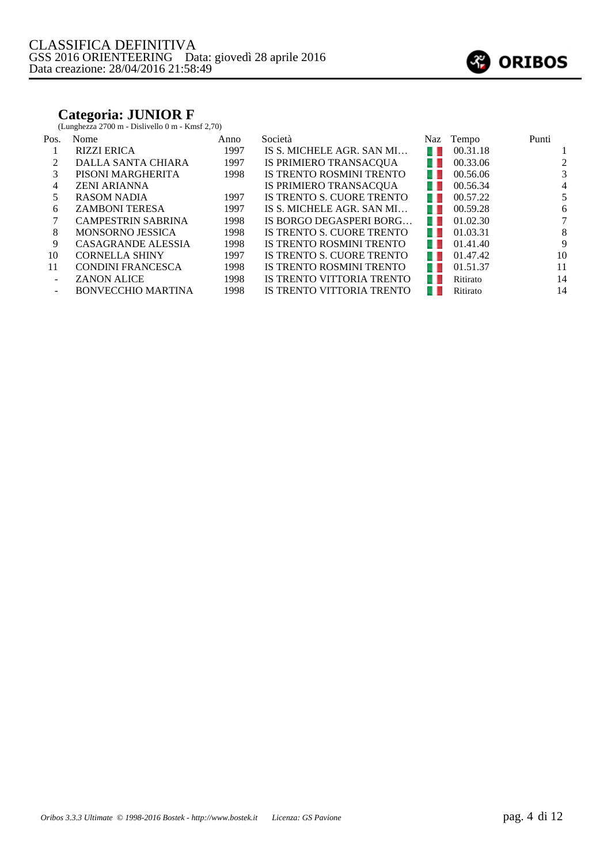### **Categoria: JUNIOR F**

(Lunghezza 2700 m - Dislivello 0 m - Kmsf 2,70)

| Pos.   | Nome                      | Anno | Società                   | Naz            | Tempo    | Punti |
|--------|---------------------------|------|---------------------------|----------------|----------|-------|
|        | <b>RIZZI ERICA</b>        | 1997 | IS S. MICHELE AGR. SAN MI | a ka           | 00.31.18 |       |
|        | DALLA SANTA CHIARA        | 1997 | IS PRIMIERO TRANSACQUA    | u.             | 00.33.06 | 2     |
| 3      | PISONI MARGHERITA         | 1998 | IS TRENTO ROSMINI TRENTO  | u l            | 00.56.06 | 3     |
| 4      | <b>ZENI ARIANNA</b>       |      | IS PRIMIERO TRANSACQUA    | u.             | 00.56.34 | 4     |
| 5      | <b>RASOM NADIA</b>        | 1997 | IS TRENTO S. CUORE TRENTO | u.             | 00.57.22 | 5     |
| 6      | <b>ZAMBONI TERESA</b>     | 1997 | IS S. MICHELE AGR. SAN MI | u.             | 00.59.28 | 6     |
|        | <b>CAMPESTRIN SABRINA</b> | 1998 | IS BORGO DEGASPERI BORG   | u l            | 01.02.30 | 7     |
| 8      | <b>MONSORNO JESSICA</b>   | 1998 | IS TRENTO S. CUORE TRENTO | u.             | 01.03.31 | 8     |
| 9      | CASAGRANDE ALESSIA        | 1998 | IS TRENTO ROSMINI TRENTO  | u.             | 01.41.40 | 9     |
| 10     | <b>CORNELLA SHINY</b>     | 1997 | IS TRENTO S. CUORE TRENTO | <b>IP</b>      | 01.47.42 | 10    |
| 11     | <b>CONDINI FRANCESCA</b>  | 1998 | IS TRENTO ROSMINI TRENTO  | $\blacksquare$ | 01.51.37 | 11    |
| $\sim$ | <b>ZANON ALICE</b>        | 1998 | IS TRENTO VITTORIA TRENTO | u              | Ritirato | 14    |
|        | <b>BONVECCHIO MARTINA</b> | 1998 | IS TRENTO VITTORIA TRENTO |                | Ritirato | 14    |

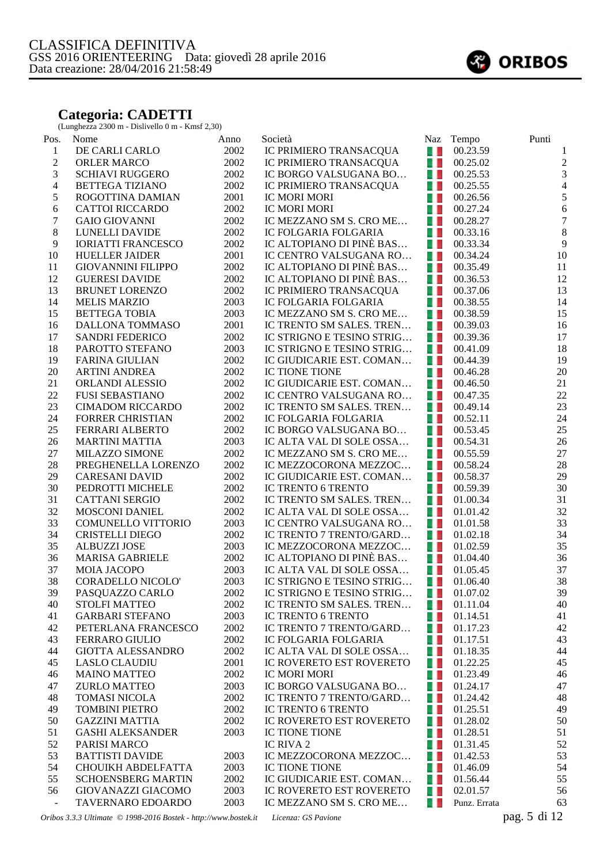#### **Categoria: CADETTI**

(Lunghezza 2300 m - Dislivello 0 m - Kmsf 2,30)

| Pos.                     | Nome                      | Anno | Società                                           | <b>Naz</b> | Tempo        | Punti            |
|--------------------------|---------------------------|------|---------------------------------------------------|------------|--------------|------------------|
| $\mathbf{1}$             | DE CARLI CARLO            | 2002 | IC PRIMIERO TRANSACQUA                            | 41         | 00.23.59     | 1                |
| $\overline{c}$           | <b>ORLER MARCO</b>        | 2002 | IC PRIMIERO TRANSACQUA                            | a. L       | 00.25.02     | $\overline{c}$   |
| 3                        | <b>SCHIAVI RUGGERO</b>    | 2002 | IC BORGO VALSUGANA BO                             | 41         | 00.25.53     | $\mathfrak{Z}$   |
| $\overline{\mathcal{A}}$ | <b>BETTEGA TIZIANO</b>    | 2002 | IC PRIMIERO TRANSACQUA                            | a, L       | 00.25.55     | $\overline{4}$   |
| 5                        | ROGOTTINA DAMIAN          | 2001 | <b>IC MORI MORI</b>                               | 41         | 00.26.56     | $\sqrt{5}$       |
| 6                        | <b>CATTOI RICCARDO</b>    | 2002 | IC MORI MORI                                      | 41         | 00.27.24     | $\sqrt{6}$       |
| 7                        | <b>GAIO GIOVANNI</b>      | 2002 | IC MEZZANO SM S. CRO ME                           | 41         | 00.28.27     | $\boldsymbol{7}$ |
| $\,8\,$                  | LUNELLI DAVIDE            | 2002 | IC FOLGARIA FOLGARIA                              | a. L       | 00.33.16     | $\,8\,$          |
| $\overline{9}$           | <b>IORIATTI FRANCESCO</b> | 2002 | IC ALTOPIANO DI PINÈ BAS                          | a. L       | 00.33.34     | $\overline{9}$   |
| 10                       | <b>HUELLER JAIDER</b>     | 2001 | IC CENTRO VALSUGANA RO                            | a. L       | 00.34.24     | 10               |
| 11                       | <b>GIOVANNINI FILIPPO</b> | 2002 | IC ALTOPIANO DI PINÈ BAS                          | IJ         | 00.35.49     | 11               |
| 12                       | <b>GUERESI DAVIDE</b>     | 2002 | IC ALTOPIANO DI PINÈ BAS                          | a. L       | 00.36.53     | 12               |
| 13                       | <b>BRUNET LORENZO</b>     | 2002 | IC PRIMIERO TRANSACQUA                            | 41         | 00.37.06     | 13               |
| 14                       | <b>MELIS MARZIO</b>       | 2003 | IC FOLGARIA FOLGARIA                              | 41         | 00.38.55     | 14               |
| 15                       | <b>BETTEGA TOBIA</b>      | 2003 | IC MEZZANO SM S. CRO ME                           | 41         | 00.38.59     | 15               |
| 16                       | DALLONA TOMMASO           | 2001 | IC TRENTO SM SALES. TREN                          | 41         | 00.39.03     | 16               |
| 17                       | <b>SANDRI FEDERICO</b>    | 2002 | IC STRIGNO E TESINO STRIG                         | a, L       | 00.39.36     | 17               |
| 18                       | PAROTTO STEFANO           | 2003 | IC STRIGNO E TESINO STRIG                         | a. L       | 00.41.09     | 18               |
| 19                       | <b>FARINA GIULIAN</b>     | 2002 | IC GIUDICARIE EST. COMAN                          | a. L       | 00.44.39     | 19               |
| 20                       | <b>ARTINI ANDREA</b>      | 2002 | IC TIONE TIONE                                    | a. L       | 00.46.28     | 20               |
| 21                       | ORLANDI ALESSIO           | 2002 | IC GIUDICARIE EST. COMAN                          | 41         | 00.46.50     | 21               |
| 22                       | <b>FUSI SEBASTIANO</b>    | 2002 | IC CENTRO VALSUGANA RO                            | a. L       | 00.47.35     | 22               |
| 23                       | <b>CIMADOM RICCARDO</b>   | 2002 | IC TRENTO SM SALES. TREN                          | a. L       | 00.49.14     | 23               |
| 24                       | <b>FORRER CHRISTIAN</b>   | 2002 | IC FOLGARIA FOLGARIA                              | 41         | 00.52.11     | 24               |
| 25                       | FERRARI ALBERTO           | 2002 | IC BORGO VALSUGANA BO                             | - 1        | 00.53.45     | 25               |
| 26                       | <b>MARTINI MATTIA</b>     | 2003 | IC ALTA VAL DI SOLE OSSA                          | - 1        | 00.54.31     | 26               |
| $27\,$                   | MILAZZO SIMONE            | 2002 | IC MEZZANO SM S. CRO ME                           | a. L       | 00.55.59     | 27               |
| $28\,$                   | PREGHENELLA LORENZO       | 2002 | IC MEZZOCORONA MEZZOC                             | a. L       | 00.58.24     | 28               |
| 29                       | <b>CARESANI DAVID</b>     | 2002 | IC GIUDICARIE EST. COMAN                          | a. L       | 00.58.37     | 29               |
| 30                       | PEDROTTI MICHELE          | 2002 | IC TRENTO 6 TRENTO                                | a. L       | 00.59.39     | 30               |
| 31                       | <b>CATTANI SERGIO</b>     | 2002 | IC TRENTO SM SALES. TREN                          | a. L       | 01.00.34     | 31               |
| 32                       | <b>MOSCONI DANIEL</b>     | 2002 | IC ALTA VAL DI SOLE OSSA                          | a, L       | 01.01.42     | 32               |
| 33                       | <b>COMUNELLO VITTORIO</b> | 2003 | IC CENTRO VALSUGANA RO                            | 41         | 01.01.58     | 33               |
| 34                       | <b>CRISTELLI DIEGO</b>    | 2002 | IC TRENTO 7 TRENTO/GARD                           | 41         | 01.02.18     | 34               |
| 35                       | <b>ALBUZZI JOSE</b>       | 2003 | IC MEZZOCORONA MEZZOC                             | 4 L        | 01.02.59     | 35               |
| 36                       | MARISA GABRIELE           | 2002 | IC ALTOPIANO DI PINÈ BAS                          | 4 L        | 01.04.40     | 36               |
| 37                       | <b>MOIA JACOPO</b>        | 2003 | IC ALTA VAL DI SOLE OSSA                          | 41         | 01.05.45     | 37               |
| 38                       | <b>CORADELLO NICOLO'</b>  | 2003 | IC STRIGNO E TESINO STRIG                         | 41         | 01.06.40     | 38               |
| 39                       | PASQUAZZO CARLO           | 2002 | IC STRIGNO E TESINO STRIG $\blacksquare$ 01.07.02 |            |              | 39               |
| 40                       | <b>STOLFI MATTEO</b>      | 2002 | IC TRENTO SM SALES. TREN                          | - 1        | 01.11.04     | 40               |
| 41                       | <b>GARBARI STEFANO</b>    | 2003 | IC TRENTO 6 TRENTO                                | 41         | 01.14.51     | 41               |
| 42                       | PETERLANA FRANCESCO       | 2002 | IC TRENTO 7 TRENTO/GARD                           | a. L       | 01.17.23     | 42               |
| 43                       | FERRARO GIULIO            | 2002 | IC FOLGARIA FOLGARIA                              | w          | 01.17.51     | 43               |
| 44                       | <b>GIOTTA ALESSANDRO</b>  | 2002 | IC ALTA VAL DI SOLE OSSA                          | w          | 01.18.35     | 44               |
| 45                       | <b>LASLO CLAUDIU</b>      | 2001 | IC ROVERETO EST ROVERETO                          | w          | 01.22.25     | 45               |
| 46                       | <b>MAINO MATTEO</b>       | 2002 | <b>IC MORI MORI</b>                               | 41         | 01.23.49     | 46               |
| 47                       | <b>ZURLO MATTEO</b>       | 2003 | IC BORGO VALSUGANA BO                             | 4 L        | 01.24.17     | 47               |
| 48                       | <b>TOMASI NICOLA</b>      | 2002 | IC TRENTO 7 TRENTO/GARD                           | 41         | 01.24.42     | 48               |
| 49                       | <b>TOMBINI PIETRO</b>     | 2002 | IC TRENTO 6 TRENTO                                | 41         | 01.25.51     | 49               |
| 50                       | <b>GAZZINI MATTIA</b>     | 2002 | IC ROVERETO EST ROVERETO                          | 41         | 01.28.02     | 50               |
| 51                       | <b>GASHI ALEKSANDER</b>   | 2003 | IC TIONE TIONE                                    | 41         | 01.28.51     | 51               |
| 52                       | PARISI MARCO              |      | IC RIVA 2                                         | U J        | 01.31.45     | 52               |
| 53                       | <b>BATTISTI DAVIDE</b>    | 2003 | IC MEZZOCORONA MEZZOC                             | w          | 01.42.53     | 53               |
| 54                       | CHOUIKH ABDELFATTA        | 2003 | <b>IC TIONE TIONE</b>                             | a. L       | 01.46.09     | 54               |
| 55                       | <b>SCHOENSBERG MARTIN</b> | 2002 | IC GIUDICARIE EST. COMAN                          | 4 L        | 01.56.44     | 55               |
| 56                       | GIOVANAZZI GIACOMO        | 2003 | IC ROVERETO EST ROVERETO                          | 41         | 02.01.57     | 56               |
| $\overline{\phantom{a}}$ | TAVERNARO EDOARDO         | 2003 | IC MEZZANO SM S. CRO ME                           | . .        | Punz. Errata | 63               |
|                          |                           |      |                                                   |            |              | $1'$ 1 $\cap$    |

*Oribos 3.3.3 Ultimate © 1998-2016 Bostek - http://www.bostek.it Licenza: GS Pavione* pag. 5 di 12

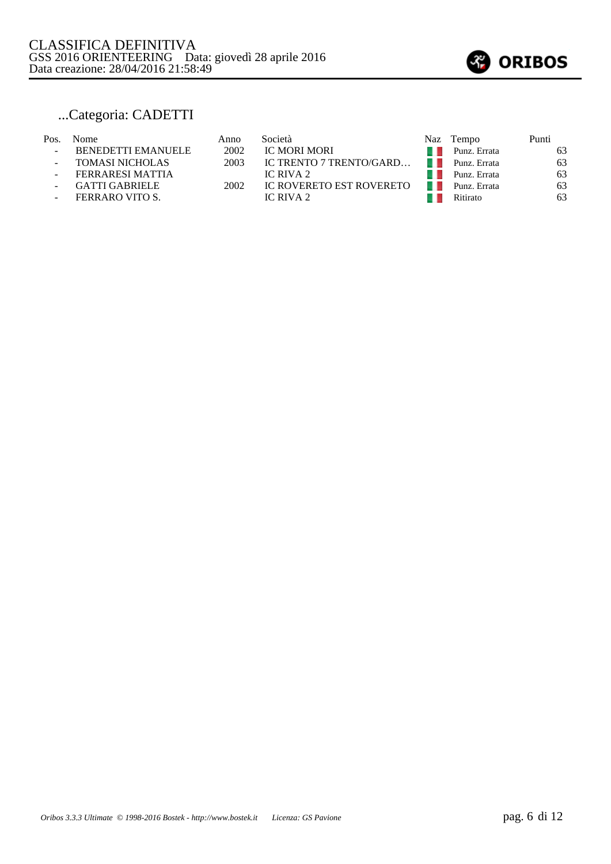

## ...Categoria: CADETTI

#### Pos. Nome Anno Società Naz Tempo Punti - BENEDETTI EMANUELE 2002 IC MORI MORI - BENEDETTI EMANUELE 2002 IC MORI MORI<br>- TOMASI NICHOLAS 2003 IC TRENTO 7 TRENTO/GARD... Punz. Errata 63 - TOMASI NICHOLAS 2003 IC TRENTO 7 TRENTO/GARD… Punz. Errata 63<br>- FERRARESI MATTIA 1 IC RIVA 2 - FERRARESI MATTIA IC RIVA 2 Punz. Errata 63 - GATTI GABRIELE 2002 IC ROVERETO EST ROVERETO Punz. Errata 63<br>
FERRARO VITO S. IC RIVA 2 Ritirato 63 - FERRARO VITO S. IC RIVA 2 Ritirato 63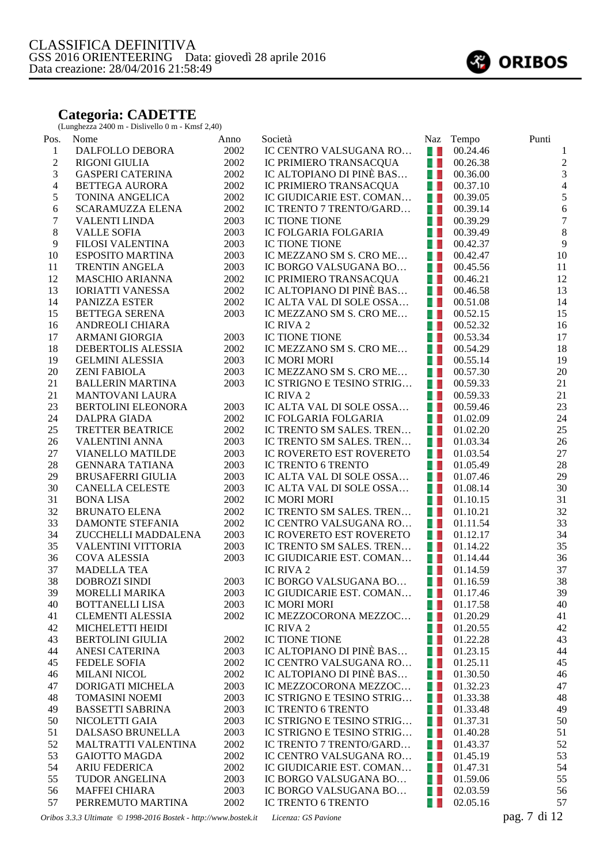#### **Categoria: CADETTE**

(Lunghezza 2400 m - Dislivello 0 m - Kmsf 2,40)

| Pos.           | Nome                                        | Anno         | Società                                           |                | Naz Tempo            | Punti            |
|----------------|---------------------------------------------|--------------|---------------------------------------------------|----------------|----------------------|------------------|
| $\mathbf{1}$   | DALFOLLO DEBORA                             | 2002         | IC CENTRO VALSUGANA RO                            | a. L           | 00.24.46             | 1                |
| $\overline{c}$ | <b>RIGONI GIULIA</b>                        | 2002         | IC PRIMIERO TRANSACQUA                            | a. L           | 00.26.38             | $\sqrt{2}$       |
| 3              | <b>GASPERI CATERINA</b>                     | 2002         | IC ALTOPIANO DI PINÈ BAS                          | 41             | 00.36.00             | $\overline{3}$   |
| $\overline{4}$ | <b>BETTEGA AURORA</b>                       | 2002         | IC PRIMIERO TRANSACQUA                            | a L            | 00.37.10             | $\overline{4}$   |
| 5              | TONINA ANGELICA                             | 2002         | IC GIUDICARIE EST. COMAN                          | 41             | 00.39.05             | 5                |
| 6              | SCARAMUZZA ELENA                            | 2002         | IC TRENTO 7 TRENTO/GARD                           | a. L           | 00.39.14             | $\boldsymbol{6}$ |
| $\tau$         | <b>VALENTI LINDA</b>                        | 2003         | <b>IC TIONE TIONE</b>                             | W              | 00.39.29             | $\boldsymbol{7}$ |
| $8\,$          | <b>VALLE SOFIA</b>                          | 2003         | IC FOLGARIA FOLGARIA                              | 41             | 00.39.49             | 8                |
| 9              | FILOSI VALENTINA                            | 2003         | <b>IC TIONE TIONE</b>                             | 41             | 00.42.37             | $\overline{9}$   |
| 10             | <b>ESPOSITO MARTINA</b>                     | 2003         | IC MEZZANO SM S. CRO ME                           | 41             | 00.42.47             | 10               |
| 11             | <b>TRENTIN ANGELA</b>                       | 2003         | IC BORGO VALSUGANA BO                             | 41             | 00.45.56             | 11               |
| 12             | <b>MASCHIO ARIANNA</b>                      | 2002         | IC PRIMIERO TRANSACQUA                            | 4 L            | 00.46.21             | 12               |
| 13             | <b>IORIATTI VANESSA</b>                     | 2002         | IC ALTOPIANO DI PINÈ BAS                          | a.             | 00.46.58             | 13               |
| 14             | PANIZZA ESTER                               | 2002         | IC ALTA VAL DI SOLE OSSA                          | 41             | 00.51.08             | 14               |
| 15             | <b>BETTEGA SERENA</b>                       | 2003         | IC MEZZANO SM S. CRO ME                           | a. L           | 00.52.15             | 15               |
| 16             | ANDREOLI CHIARA                             |              | IC RIVA 2                                         | a, L           | 00.52.32             | 16               |
| 17             | ARMANI GIORGIA                              | 2003         | IC TIONE TIONE                                    | 41             | 00.53.34             | 17               |
| 18             | DEBERTOLIS ALESSIA                          | 2002         | IC MEZZANO SM S. CRO ME                           | 41             | 00.54.29             | 18               |
| 19             | <b>GELMINI ALESSIA</b>                      | 2003         | <b>IC MORI MORI</b>                               | 41             | 00.55.14             | 19               |
| 20             | <b>ZENI FABIOLA</b>                         | 2003         | IC MEZZANO SM S. CRO ME                           | 4 L            | 00.57.30             | 20               |
| 21             | <b>BALLERIN MARTINA</b>                     | 2003         | IC STRIGNO E TESINO STRIG                         | 41             | 00.59.33             | 21               |
| 21             | <b>MANTOVANI LAURA</b>                      |              | IC RIVA 2                                         | 41             | 00.59.33             | 21               |
| 23             | BERTOLINI ELEONORA                          | 2003         | IC ALTA VAL DI SOLE OSSA                          | 41             | 00.59.46             | 23               |
| 24             | <b>DALPRA GIADA</b>                         | 2002         | IC FOLGARIA FOLGARIA                              | U D            | 01.02.09             | 24               |
| 25             | TRETTER BEATRICE                            | 2002         | IC TRENTO SM SALES. TREN                          | 41             | 01.02.20             | 25               |
| 26             | <b>VALENTINI ANNA</b>                       | 2003         | IC TRENTO SM SALES. TREN                          | 41             | 01.03.34             | 26               |
| 27             | <b>VIANELLO MATILDE</b>                     | 2003         | IC ROVERETO EST ROVERETO                          | a. L           | 01.03.54             | 27               |
| 28             | <b>GENNARA TATIANA</b>                      | 2003         | IC TRENTO 6 TRENTO                                | 4 L            | 01.05.49             | 28               |
| 29             | <b>BRUSAFERRI GIULIA</b>                    | 2003         | IC ALTA VAL DI SOLE OSSA                          | 41             | 01.07.46             | 29               |
| 30             | <b>CANELLA CELESTE</b>                      | 2003         | IC ALTA VAL DI SOLE OSSA                          | 41             | 01.08.14             | 30               |
| 31             | <b>BONA LISA</b>                            | 2002         | IC MORI MORI                                      | 4 L            | 01.10.15             | 31               |
| 32             | <b>BRUNATO ELENA</b>                        | 2002         | IC TRENTO SM SALES. TREN                          | 41             | 01.10.21             | 32               |
| 33             | DAMONTE STEFANIA                            | 2002         | IC CENTRO VALSUGANA RO                            | a. L           | 01.11.54             | 33               |
| 34             | ZUCCHELLI MADDALENA                         | 2003         | IC ROVERETO EST ROVERETO                          | a. L           | 01.12.17             | 34               |
| 35             | VALENTINI VITTORIA                          | 2003         | IC TRENTO SM SALES. TREN                          | 41             | 01.14.22             | 35               |
| 36             | <b>COVA ALESSIA</b>                         | 2003         | IC GIUDICARIE EST. COMAN                          | a. L           | 01.14.44             | 36               |
| 37             | <b>MADELLA TEA</b>                          |              | IC RIVA 2                                         | 41             | 01.14.59             | 37               |
| 38             | <b>DOBROZI SINDI</b>                        | 2003         | IC BORGO VALSUGANA BO                             | 41             | 01.16.59             | 38               |
| 39             | MORELLI MARIKA                              | 2003         | IC GIUDICARIE EST. COMAN $\blacksquare$ 01.17.46  |                |                      | 39               |
| 40             | <b>BOTTANELLI LISA</b>                      | 2003         | IC MORI MORI                                      | 41             | 01.17.58             | 40               |
| 41             | <b>CLEMENTI ALESSIA</b>                     | 2002         | IC MEZZOCORONA MEZZOC                             | a. L           | 01.20.29             | 41               |
| 42             | MICHELETTI HEIDI                            |              | IC RIVA 2                                         | a. L           | 01.20.55             | 42               |
| 43             | <b>BERTOLINI GIULIA</b>                     | 2002         | IC TIONE TIONE                                    | w              | 01.22.28             | 43               |
| 44             | <b>ANESI CATERINA</b>                       | 2003         | IC ALTOPIANO DI PINÈ BAS                          | a. L           | 01.23.15             | 44               |
| 45             | <b>FEDELE SOFIA</b>                         | 2002         | IC CENTRO VALSUGANA RO                            | a. L           | 01.25.11             | 45               |
| 46             | <b>MILANI NICOL</b>                         | 2002         | IC ALTOPIANO DI PINÈ BAS                          | $\blacksquare$ | 01.30.50             | 46               |
| 47             | DORIGATI MICHELA                            | 2003         | IC MEZZOCORONA MEZZOC                             | a p            | 01.32.23             | 47               |
| 48             | <b>TOMASINI NOEMI</b>                       | 2003         | IC STRIGNO E TESINO STRIG<br>IC TRENTO 6 TRENTO   | 41             | 01.33.38<br>01.33.48 | 48<br>49         |
| 49             | <b>BASSETTI SABRINA</b>                     | 2003         | IC STRIGNO E TESINO STRIG                         | a. L           |                      |                  |
| 50             | NICOLETTI GAIA                              | 2003         |                                                   | 4 L            | 01.37.31             | 50               |
| 51<br>52       | DALSASO BRUNELLA                            | 2003         | IC STRIGNO E TESINO STRIG                         | a. L           | 01.40.28             | 51               |
| 53             | MALTRATTI VALENTINA<br><b>GAIOTTO MAGDA</b> | 2002<br>2002 | IC TRENTO 7 TRENTO/GARD<br>IC CENTRO VALSUGANA RO | 41<br>a D      | 01.43.37             | 52<br>53         |
| 54             | <b>ARIU FEDERICA</b>                        | 2002         | IC GIUDICARIE EST. COMAN                          | a. L           | 01.45.19<br>01.47.31 | 54               |
| 55             | TUDOR ANGELINA                              | 2003         | IC BORGO VALSUGANA BO                             | 41             | 01.59.06             | 55               |
| 56             | <b>MAFFEI CHIARA</b>                        | 2003         | IC BORGO VALSUGANA BO                             | 41             | 02.03.59             | 56               |
| 57             | PERREMUTO MARTINA                           | 2002         | IC TRENTO 6 TRENTO                                | w              | 02.05.16             | 57               |
|                |                                             |              |                                                   |                |                      |                  |

*Oribos 3.3.3 Ultimate © 1998-2016 Bostek - http://www.bostek.it Licenza: GS Pavione* pag. 7 di 12

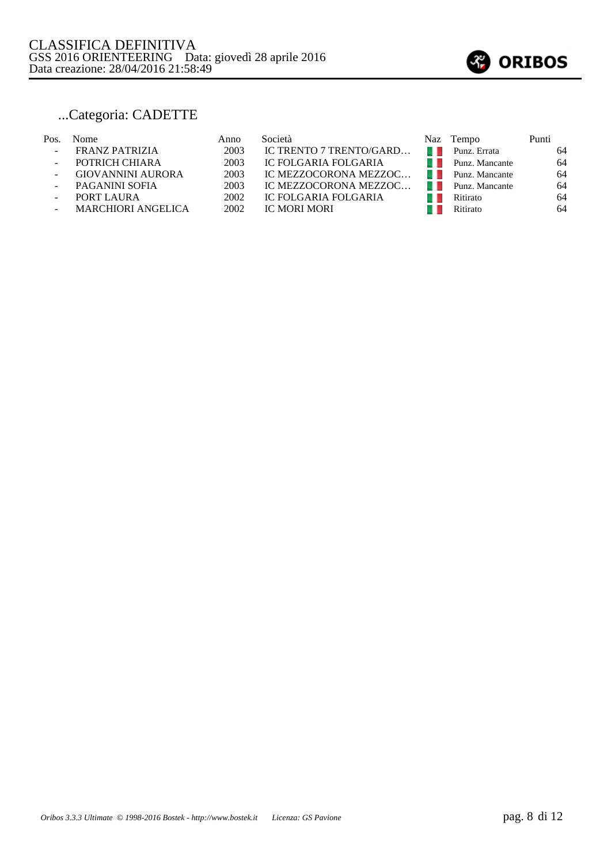

# ...Categoria: CADETTE

| 64 |
|----|
|    |
| 64 |
| 64 |
| 64 |
| 64 |
| 64 |
|    |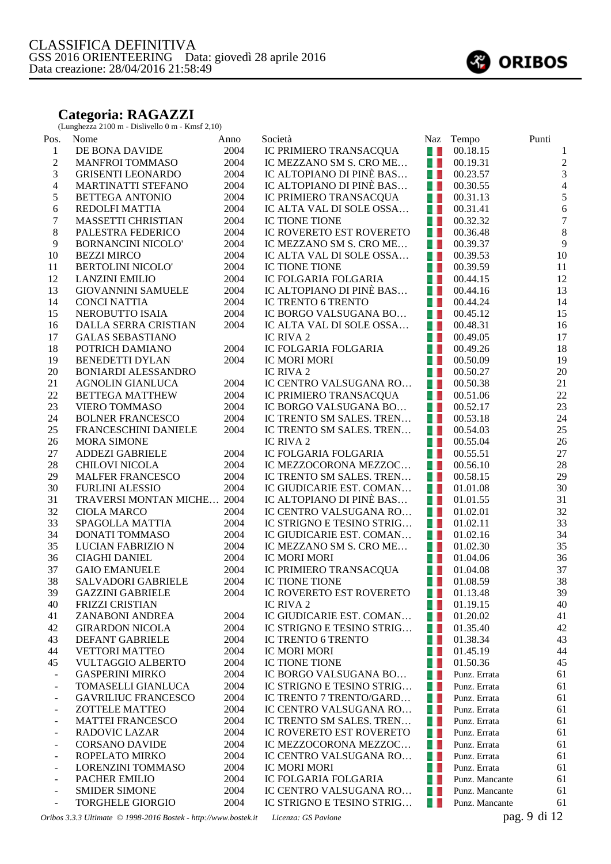#### **Categoria: RAGAZZI**

(Lunghezza 2100 m - Dislivello 0 m - Kmsf 2,10)

| Pos.                         | Nome                                                            | Anno         | Società                                |                | Naz Tempo      | Punti            |
|------------------------------|-----------------------------------------------------------------|--------------|----------------------------------------|----------------|----------------|------------------|
| $\mathbf{1}$                 | DE BONA DAVIDE                                                  | 2004         | IC PRIMIERO TRANSACQUA                 | $\blacksquare$ | 00.18.15       | $\mathbf{1}$     |
| $\boldsymbol{2}$             | <b>MANFROI TOMMASO</b>                                          | 2004         | IC MEZZANO SM S. CRO ME                | a. L           | 00.19.31       | $\overline{c}$   |
| 3                            | <b>GRISENTI LEONARDO</b>                                        | 2004         | IC ALTOPIANO DI PINÈ BAS               | 4 L            | 00.23.57       | $\mathfrak{Z}$   |
| $\overline{4}$               | MARTINATTI STEFANO                                              | 2004         | IC ALTOPIANO DI PINÈ BAS               | a. L           | 00.30.55       | $\overline{4}$   |
| 5                            | <b>BETTEGA ANTONIO</b>                                          | 2004         | IC PRIMIERO TRANSACQUA                 | a. L           | 00.31.13       | 5                |
| 6                            | REDOLFI MATTIA                                                  | 2004         | IC ALTA VAL DI SOLE OSSA               | 4 L            | 00.31.41       | $\overline{6}$   |
| $\tau$                       | MASSETTI CHRISTIAN                                              | 2004         | IC TIONE TIONE                         | 4 L            | 00.32.32       | $\overline{7}$   |
| $8\,$                        | PALESTRA FEDERICO                                               | 2004         | IC ROVERETO EST ROVERETO               | 4 L            | 00.36.48       | $\boldsymbol{8}$ |
| 9                            | <b>BORNANCINI NICOLO'</b>                                       | 2004         | IC MEZZANO SM S. CRO ME                | a. L           | 00.39.37       | $\overline{9}$   |
| $10\,$                       | <b>BEZZI MIRCO</b>                                              | 2004         | IC ALTA VAL DI SOLE OSSA               | a. L           | 00.39.53       | $10\,$           |
| 11                           | <b>BERTOLINI NICOLO'</b>                                        | 2004         | IC TIONE TIONE                         | 41             | 00.39.59       | 11               |
| 12                           | <b>LANZINI EMILIO</b>                                           | 2004         | IC FOLGARIA FOLGARIA                   | 41             | 00.44.15       | 12               |
| 13                           | <b>GIOVANNINI SAMUELE</b>                                       | 2004         | IC ALTOPIANO DI PINÈ BAS               | 4 L            | 00.44.16       | 13               |
| 14                           | <b>CONCI NATTIA</b>                                             | 2004         | IC TRENTO 6 TRENTO                     | a, L           | 00.44.24       | 14               |
| 15                           | NEROBUTTO ISAIA                                                 | 2004         | IC BORGO VALSUGANA BO                  | 4 L            | 00.45.12       | 15               |
| 16                           | DALLA SERRA CRISTIAN                                            | 2004         | IC ALTA VAL DI SOLE OSSA               | a. L           | 00.48.31       | 16               |
| 17                           | <b>GALAS SEBASTIANO</b>                                         |              | IC RIVA 2                              | a, L           | 00.49.05       | 17               |
| 18                           | POTRICH DAMIANO                                                 | 2004         | IC FOLGARIA FOLGARIA                   | 41             | 00.49.26       | 18               |
| 19                           | <b>BENEDETTI DYLAN</b>                                          | 2004         | IC MORI MORI                           | 4. L           | 00.50.09       | 19               |
| 20                           | <b>BONIARDI ALESSANDRO</b>                                      |              | IC RIVA 2                              | 41             | 00.50.27       | 20               |
| 21                           | <b>AGNOLIN GIANLUCA</b>                                         | 2004         | IC CENTRO VALSUGANA RO                 | a.             | 00.50.38       | 21               |
| 22                           | <b>BETTEGA MATTHEW</b>                                          | 2004         | IC PRIMIERO TRANSACQUA                 | a. L           | 00.51.06       | 22               |
| 23                           | <b>VIERO TOMMASO</b>                                            | 2004         | IC BORGO VALSUGANA BO                  | 4 L            | 00.52.17       | 23               |
| 24                           | <b>BOLNER FRANCESCO</b>                                         | 2004         | IC TRENTO SM SALES. TREN               | 41             | 00.53.18       | 24               |
| 25                           | FRANCESCHINI DANIELE                                            | 2004         | IC TRENTO SM SALES. TREN               | a. L           | 00.54.03       | 25               |
| 26                           | <b>MORA SIMONE</b>                                              |              | IC RIVA 2                              | a, L           | 00.55.04       | 26               |
| 27                           | <b>ADDEZI GABRIELE</b>                                          | 2004         | IC FOLGARIA FOLGARIA                   | a. L           | 00.55.51       | 27               |
| 28                           | <b>CHILOVI NICOLA</b>                                           | 2004         | IC MEZZOCORONA MEZZOC                  | 41             | 00.56.10       | 28               |
| 29                           | <b>MALFER FRANCESCO</b>                                         | 2004         | IC TRENTO SM SALES. TREN               | $\blacksquare$ | 00.58.15       | 29               |
| 30                           | <b>FURLINI ALESSIO</b>                                          | 2004         | IC GIUDICARIE EST. COMAN               | a, L           | 01.01.08       | 30               |
| 31                           | TRAVERSI MONTAN MICHE                                           | 2004         | IC ALTOPIANO DI PINÈ BAS               | 4 L            | 01.01.55       | 31               |
| 32                           | <b>CIOLA MARCO</b>                                              | 2004         | IC CENTRO VALSUGANA RO                 | a. L           | 01.02.01       | 32               |
| 33                           |                                                                 | 2004         | IC STRIGNO E TESINO STRIG              | 41             | 01.02.11       | 33               |
| 34                           | SPAGOLLA MATTIA<br>DONATI TOMMASO                               | 2004         | IC GIUDICARIE EST. COMAN               | a. L           | 01.02.16       | 34               |
| 35                           | LUCIAN FABRIZIO N                                               | 2004         | IC MEZZANO SM S. CRO ME                | a, L           | 01.02.30       | 35               |
|                              |                                                                 |              |                                        |                |                |                  |
| 36                           | <b>CIAGHI DANIEL</b>                                            | 2004<br>2004 | IC MORI MORI<br>IC PRIMIERO TRANSACQUA | 4 L            | 01.04.06       | 36               |
| 37                           | <b>GAIO EMANUELE</b>                                            |              |                                        | 4. L           | 01.04.08       | 37               |
| 38                           | SALVADORI GABRIELE                                              | 2004         | <b>IC TIONE TIONE</b>                  | $\blacksquare$ | 01.08.59       | 38               |
| 39                           | <b>GAZZINI GABRIELE</b>                                         | 2004         | IC ROVERETO EST ROVERETO   01.13.48    |                |                | 39               |
| 40                           | <b>FRIZZI CRISTIAN</b>                                          |              | IC RIVA 2                              | . .            | 01.19.15       | 40               |
| 41                           | ZANABONI ANDREA                                                 | 2004         | IC GIUDICARIE EST. COMAN               | w              | 01.20.02       | 41               |
| 42                           | <b>GIRARDON NICOLA</b>                                          | 2004         | IC STRIGNO E TESINO STRIG              | u L            | 01.35.40       | 42               |
| 43                           | DEFANT GABRIELE                                                 | 2004         | IC TRENTO 6 TRENTO                     | w              | 01.38.34       | 43               |
| 44                           | <b>VETTORI MATTEO</b>                                           | 2004         | <b>IC MORI MORI</b>                    | w              | 01.45.19       | 44               |
| 45                           | <b>VULTAGGIO ALBERTO</b>                                        | 2004         | <b>IC TIONE TIONE</b>                  | 41             | 01.50.36       | 45               |
| $\Box$                       | <b>GASPERINI MIRKO</b>                                          | 2004         | IC BORGO VALSUGANA BO                  | a. L           | Punz. Errata   | 61               |
| $\qquad \qquad \blacksquare$ | TOMASELLI GIANLUCA                                              | 2004         | IC STRIGNO E TESINO STRIG              | w              | Punz. Errata   | 61               |
| $\overline{\phantom{a}}$     | <b>GAVRILIUC FRANCESCO</b>                                      | 2004         | IC TRENTO 7 TRENTO/GARD                | 41             | Punz. Errata   | 61               |
| $\overline{\phantom{a}}$     | <b>ZOTTELE MATTEO</b>                                           | 2004         | IC CENTRO VALSUGANA RO                 | 41             | Punz. Errata   | 61               |
| $\overline{\phantom{0}}$     | <b>MATTEI FRANCESCO</b>                                         | 2004         | IC TRENTO SM SALES. TREN               | w              | Punz. Errata   | 61               |
| $\qquad \qquad \blacksquare$ | RADOVIC LAZAR                                                   | 2004         | IC ROVERETO EST ROVERETO               | 4. L           | Punz. Errata   | 61               |
| $\overline{\phantom{a}}$     | <b>CORSANO DAVIDE</b>                                           | 2004         | IC MEZZOCORONA MEZZOC                  | 41             | Punz. Errata   | 61               |
| $\blacksquare$               | ROPELATO MIRKO                                                  | 2004         | IC CENTRO VALSUGANA RO                 | 41             | Punz. Errata   | 61               |
| $\overline{\phantom{m}}$     | LORENZINI TOMMASO                                               | 2004         | IC MORI MORI                           | w              | Punz. Errata   | 61               |
| $\overline{\phantom{a}}$     | PACHER EMILIO                                                   | 2004         | IC FOLGARIA FOLGARIA                   | 41             | Punz. Mancante | 61               |
| $\overline{\phantom{a}}$     | <b>SMIDER SIMONE</b>                                            | 2004         | IC CENTRO VALSUGANA RO                 | a ka           | Punz. Mancante | 61               |
| $\blacksquare$               | <b>TORGHELE GIORGIO</b>                                         | 2004         | IC STRIGNO E TESINO STRIG              | . .            | Punz. Mancante | 61               |
|                              | Oribos 3.3.3 Ultimate © 1998-2016 Bostek - http://www.bostek.it |              | Licenza: GS Pavione                    |                |                | pag. 9 di 12     |

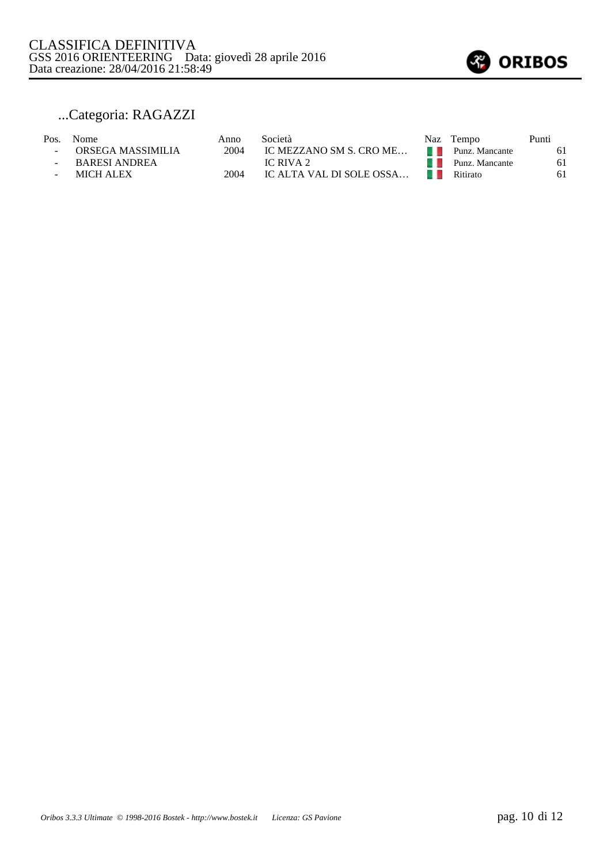

## ...Categoria: RAGAZZI

- 
- ORSEGA MASSIMILIA 2004 IC MEZZANO SM S. CRO ME… PUNARESI ANDREA IC RIVA 2
	-
- 
- BARESI ANDREA IC RIVA 2<br>- MICH ALEX 2004 IC ALTA VAL DI SOLE OSSA...
- MICH ALEX 2004 IC ALTA VAL DI SOLE OSSA...

| Pos. | Nome                | Anno | Società                  | Naz | Tempo          | Punti |
|------|---------------------|------|--------------------------|-----|----------------|-------|
|      | - ORSEGA MASSIMILIA | 2004 | IC MEZZANO SM S. CRO ME  |     | Punz. Mancante | 61    |
|      | BARESI ANDREA       |      | IC RIVA 2                |     | Punz. Mancante | 61    |
|      | <b>MICH ALEX</b>    | 2004 | IC ALTA VAL DI SOLE OSSA |     | Ritirato       | 61    |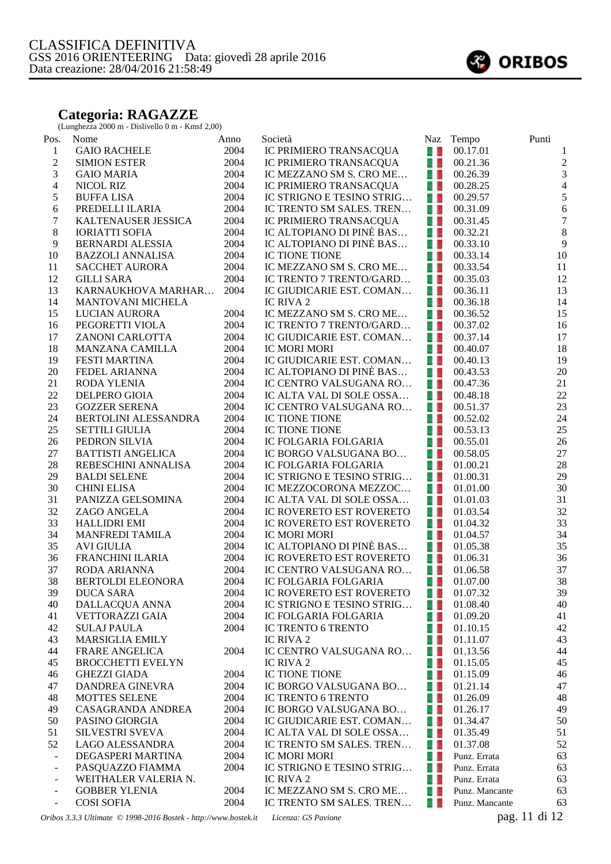#### **Categoria: RAGAZZE**

(Lunghezza 2000 m - Dislivello 0 m - Kmsf 2,00)

| <b>GAIO RACHELE</b><br>2004<br>IC PRIMIERO TRANSACQUA<br>a L<br>00.17.01<br>$\mathbf{1}$<br>$\mathbf{1}$<br>$\overline{2}$<br>2004<br>$\sqrt{2}$<br>IC PRIMIERO TRANSACQUA<br>A.<br>00.21.36<br><b>SIMION ESTER</b><br>$\overline{3}$<br>3<br>IC MEZZANO SM S. CRO ME<br>2004<br>4. L<br>00.26.39<br><b>GAIO MARIA</b><br>$\overline{4}$<br>$\overline{4}$<br>41<br>2004<br>IC PRIMIERO TRANSACQUA<br>00.28.25<br>NICOL RIZ<br>$\sqrt{5}$<br>5<br>IC STRIGNO E TESINO STRIG<br>2004<br>$\blacksquare$<br>00.29.57<br><b>BUFFALISA</b><br>6<br>6<br>2004<br>u L<br>PREDELLI ILARIA<br>IC TRENTO SM SALES. TREN<br>00.31.09<br>$\boldsymbol{7}$<br>$\tau$<br>2004<br>KALTENAUSER JESSICA<br>IC PRIMIERO TRANSACQUA<br>41<br>00.31.45<br>$\,8\,$<br>$8\,$<br>2004<br>IC ALTOPIANO DI PINÈ BAS<br>41<br><b>IORIATTI SOFIA</b><br>00.32.21<br>9<br>$\overline{9}$<br>2004<br>IC ALTOPIANO DI PINÈ BAS<br>a L<br><b>BERNARDI ALESSIA</b><br>00.33.10<br>10<br>10<br>2004<br>41<br><b>BAZZOLI ANNALISA</b><br>IC TIONE TIONE<br>00.33.14<br>IC MEZZANO SM S. CRO ME<br>11<br>2004<br>a L<br>11<br><b>SACCHET AURORA</b><br>00.33.54<br>12<br>a L<br>12<br>2004<br><b>GILLI SARA</b><br>IC TRENTO 7 TRENTO/GARD<br>00.35.03<br>13<br>2004<br>IC GIUDICARIE EST. COMAN<br>$\blacksquare$<br>13<br>KARNAUKHOVA MARHAR<br>00.36.11<br>14<br>14<br>MANTOVANI MICHELA<br>IC RIVA 2<br>41<br>00.36.18<br>15<br>15<br>2004<br>LUCIAN AURORA<br>IC MEZZANO SM S. CRO ME<br>a. L<br>00.36.52<br>16<br>2004<br>IC TRENTO 7 TRENTO/GARD<br>u.<br>16<br>PEGORETTI VIOLA<br>00.37.02<br>17<br>2004<br>17<br>$\blacksquare$<br>ZANONI CARLOTTA<br>IC GIUDICARIE EST. COMAN<br>00.37.14<br>2004<br>18<br><b>IC MORI MORI</b><br>41<br>18<br>MANZANA CAMILLA<br>00.40.07<br>IC GIUDICARIE EST. COMAN<br>19<br>2004<br>a L<br>19<br><b>FESTI MARTINA</b><br>00.40.13<br>IC ALTOPIANO DI PINÈ BAS<br>20<br>2004<br>a L<br>00.43.53<br>20<br><b>FEDEL ARIANNA</b><br>21<br>2004<br>IC CENTRO VALSUGANA RO<br>a L<br>21<br><b>RODA YLENIA</b><br>00.47.36<br>22<br>22<br>2004<br>IC ALTA VAL DI SOLE OSSA<br>41<br>DELPERO GIOIA<br>00.48.18<br>23<br>23<br>2004<br><b>GOZZER SERENA</b><br>IC CENTRO VALSUGANA RO<br>41<br>00.51.37<br>24<br>2004<br>41<br>24<br>BERTOLINI ALESSANDRA<br>IC TIONE TIONE<br>00.52.02<br>25<br>25<br>2004<br>a. L<br><b>SETTILI GIULIA</b><br>IC TIONE TIONE<br>00.53.13<br>26<br>2004<br>a, L<br>26<br>PEDRON SILVIA<br>IC FOLGARIA FOLGARIA<br>00.55.01<br>27<br>2004<br>IC BORGO VALSUGANA BO<br>a L<br>27<br><b>BATTISTI ANGELICA</b><br>00.58.05<br>28<br>$28\,$<br>2004<br>A.<br>01.00.21<br>REBESCHINI ANNALISA<br>IC FOLGARIA FOLGARIA<br>IC STRIGNO E TESINO STRIG<br>29<br>29<br>2004<br>41<br><b>BALDI SELENE</b><br>01.00.31<br>30<br>30<br>2004<br>IC MEZZOCORONA MEZZOC<br>$\blacksquare$<br><b>CHINI ELISA</b><br>01.01.00<br>31<br>31<br>2004<br>- 1<br>PANIZZA GELSOMINA<br>IC ALTA VAL DI SOLE OSSA<br>01.01.03<br>32<br>2004<br>32<br>IC ROVERETO EST ROVERETO<br>u.<br>ZAGO ANGELA<br>01.03.54<br>33<br>33<br>2004<br>u.<br><b>HALLIDRI EMI</b><br>IC ROVERETO EST ROVERETO<br>01.04.32<br>34<br>34<br>2004<br>41<br><b>MANFREDI TAMILA</b><br>IC MORI MORI<br>01.04.57<br>35<br>35<br>2004<br>IC ALTOPIANO DI PINÈ BAS<br>a. L<br><b>AVI GIULIA</b><br>01.05.38<br>36<br>2004<br>40<br>FRANCHINI ILARIA<br>IC ROVERETO EST ROVERETO<br>36<br>01.06.31<br>37<br>2004<br>41<br>37<br>RODA ARIANNA<br>IC CENTRO VALSUGANA RO<br>01.06.58<br>38<br>38<br>2004<br>$\blacksquare$<br><b>BERTOLDI ELEONORA</b><br>IC FOLGARIA FOLGARIA<br>01.07.00<br>39<br>39<br>2004<br>IC ROVERETO EST ROVERETO <b>1</b> 01.07.32<br><b>DUCA SARA</b><br>40<br>DALLACQUA ANNA<br>2004<br>IC STRIGNO E TESINO STRIG<br>01.08.40<br>40<br>. .<br>2004<br>41<br><b>VETTORAZZI GAIA</b><br>IC FOLGARIA FOLGARIA<br>01.09.20<br>41<br>w<br>42<br>2004<br>IC TRENTO 6 TRENTO<br>42<br><b>SULAJ PAULA</b><br>01.10.15<br>w<br>43<br><b>MARSIGLIA EMILY</b><br>IC RIVA 2<br>01.11.07<br>43<br>w<br>44<br>FRARE ANGELICA<br>2004<br>IC CENTRO VALSUGANA RO<br>w<br>44<br>01.13.56<br>45<br><b>BROCCHETTI EVELYN</b><br>IC RIVA 2<br>45<br>w<br>01.15.05<br>46<br><b>GHEZZI GIADA</b><br>2004<br>IC TIONE TIONE<br>01.15.09<br>46<br>w<br>47<br>DANDREA GINEVRA<br>47<br>2004<br>IC BORGO VALSUGANA BO<br>41<br>01.21.14<br>48<br>41<br>MOTTES SELENE<br>2004<br>IC TRENTO 6 TRENTO<br>48<br>01.26.09<br>49<br>2004<br>IC BORGO VALSUGANA BO<br>W<br>49<br>CASAGRANDA ANDREA<br>01.26.17<br>50<br>2004<br>IC GIUDICARIE EST. COMAN<br>50<br>PASINO GIORGIA<br>w<br>01.34.47<br>51<br>2004<br>51<br><b>SILVESTRI SVEVA</b><br>IC ALTA VAL DI SOLE OSSA<br>41<br>01.35.49<br>52<br>LAGO ALESSANDRA<br>2004<br>IC TRENTO SM SALES. TREN<br>41<br>52<br>01.37.08<br>DEGASPERI MARTINA<br>2004<br>IC MORI MORI<br>41<br>63<br>Punz. Errata<br>$\overline{\phantom{a}}$<br>PASQUAZZO FIAMMA<br>2004<br>IC STRIGNO E TESINO STRIG<br>41<br>63<br>Punz. Errata<br>$\overline{\phantom{0}}$<br>WEITHALER VALERIA N.<br>IC RIVA 2<br>63<br>41<br>Punz. Errata<br>$\overline{\phantom{a}}$<br><b>GOBBER YLENIA</b><br>2004<br>IC MEZZANO SM S. CRO ME<br>63<br>- 1<br>Punz. Mancante<br>$\overline{\phantom{m}}$<br><b>COSI SOFIA</b><br>2004<br>IC TRENTO SM SALES. TREN<br>w<br>63<br>Punz. Mancante<br>$\frac{1}{2}$<br>pag. 11 di 12<br>Oribos 3.3.3 Ultimate © 1998-2016 Bostek - http://www.bostek.it<br>Licenza: GS Pavione | Pos. | Nome | Anno | Società | Naz Tempo | Punti |
|-------------------------------------------------------------------------------------------------------------------------------------------------------------------------------------------------------------------------------------------------------------------------------------------------------------------------------------------------------------------------------------------------------------------------------------------------------------------------------------------------------------------------------------------------------------------------------------------------------------------------------------------------------------------------------------------------------------------------------------------------------------------------------------------------------------------------------------------------------------------------------------------------------------------------------------------------------------------------------------------------------------------------------------------------------------------------------------------------------------------------------------------------------------------------------------------------------------------------------------------------------------------------------------------------------------------------------------------------------------------------------------------------------------------------------------------------------------------------------------------------------------------------------------------------------------------------------------------------------------------------------------------------------------------------------------------------------------------------------------------------------------------------------------------------------------------------------------------------------------------------------------------------------------------------------------------------------------------------------------------------------------------------------------------------------------------------------------------------------------------------------------------------------------------------------------------------------------------------------------------------------------------------------------------------------------------------------------------------------------------------------------------------------------------------------------------------------------------------------------------------------------------------------------------------------------------------------------------------------------------------------------------------------------------------------------------------------------------------------------------------------------------------------------------------------------------------------------------------------------------------------------------------------------------------------------------------------------------------------------------------------------------------------------------------------------------------------------------------------------------------------------------------------------------------------------------------------------------------------------------------------------------------------------------------------------------------------------------------------------------------------------------------------------------------------------------------------------------------------------------------------------------------------------------------------------------------------------------------------------------------------------------------------------------------------------------------------------------------------------------------------------------------------------------------------------------------------------------------------------------------------------------------------------------------------------------------------------------------------------------------------------------------------------------------------------------------------------------------------------------------------------------------------------------------------------------------------------------------------------------------------------------------------------------------------------------------------------------------------------------------------------------------------------------------------------------------------------------------------------------------------------------------------------------------------------------------------------------------------------------------------------------------------------------------------------------------------------------------------------------------------------------------------------------------------------------------------------------------------------------------------------------------------------------------------------------------------------------------------------------------------------------------------------------------------------------------------------------------------------------------------------------------------------------------------------------------------------------------------------------------------------------------------------------------------------------------------------------------------------------------------------------------------------------|------|------|------|---------|-----------|-------|
|                                                                                                                                                                                                                                                                                                                                                                                                                                                                                                                                                                                                                                                                                                                                                                                                                                                                                                                                                                                                                                                                                                                                                                                                                                                                                                                                                                                                                                                                                                                                                                                                                                                                                                                                                                                                                                                                                                                                                                                                                                                                                                                                                                                                                                                                                                                                                                                                                                                                                                                                                                                                                                                                                                                                                                                                                                                                                                                                                                                                                                                                                                                                                                                                                                                                                                                                                                                                                                                                                                                                                                                                                                                                                                                                                                                                                                                                                                                                                                                                                                                                                                                                                                                                                                                                                                                                                                                                                                                                                                                                                                                                                                                                                                                                                                                                                                                                                                                                                                                                                                                                                                                                                                                                                                                                                                                                                                                                                   |      |      |      |         |           |       |
|                                                                                                                                                                                                                                                                                                                                                                                                                                                                                                                                                                                                                                                                                                                                                                                                                                                                                                                                                                                                                                                                                                                                                                                                                                                                                                                                                                                                                                                                                                                                                                                                                                                                                                                                                                                                                                                                                                                                                                                                                                                                                                                                                                                                                                                                                                                                                                                                                                                                                                                                                                                                                                                                                                                                                                                                                                                                                                                                                                                                                                                                                                                                                                                                                                                                                                                                                                                                                                                                                                                                                                                                                                                                                                                                                                                                                                                                                                                                                                                                                                                                                                                                                                                                                                                                                                                                                                                                                                                                                                                                                                                                                                                                                                                                                                                                                                                                                                                                                                                                                                                                                                                                                                                                                                                                                                                                                                                                                   |      |      |      |         |           |       |
|                                                                                                                                                                                                                                                                                                                                                                                                                                                                                                                                                                                                                                                                                                                                                                                                                                                                                                                                                                                                                                                                                                                                                                                                                                                                                                                                                                                                                                                                                                                                                                                                                                                                                                                                                                                                                                                                                                                                                                                                                                                                                                                                                                                                                                                                                                                                                                                                                                                                                                                                                                                                                                                                                                                                                                                                                                                                                                                                                                                                                                                                                                                                                                                                                                                                                                                                                                                                                                                                                                                                                                                                                                                                                                                                                                                                                                                                                                                                                                                                                                                                                                                                                                                                                                                                                                                                                                                                                                                                                                                                                                                                                                                                                                                                                                                                                                                                                                                                                                                                                                                                                                                                                                                                                                                                                                                                                                                                                   |      |      |      |         |           |       |
|                                                                                                                                                                                                                                                                                                                                                                                                                                                                                                                                                                                                                                                                                                                                                                                                                                                                                                                                                                                                                                                                                                                                                                                                                                                                                                                                                                                                                                                                                                                                                                                                                                                                                                                                                                                                                                                                                                                                                                                                                                                                                                                                                                                                                                                                                                                                                                                                                                                                                                                                                                                                                                                                                                                                                                                                                                                                                                                                                                                                                                                                                                                                                                                                                                                                                                                                                                                                                                                                                                                                                                                                                                                                                                                                                                                                                                                                                                                                                                                                                                                                                                                                                                                                                                                                                                                                                                                                                                                                                                                                                                                                                                                                                                                                                                                                                                                                                                                                                                                                                                                                                                                                                                                                                                                                                                                                                                                                                   |      |      |      |         |           |       |
|                                                                                                                                                                                                                                                                                                                                                                                                                                                                                                                                                                                                                                                                                                                                                                                                                                                                                                                                                                                                                                                                                                                                                                                                                                                                                                                                                                                                                                                                                                                                                                                                                                                                                                                                                                                                                                                                                                                                                                                                                                                                                                                                                                                                                                                                                                                                                                                                                                                                                                                                                                                                                                                                                                                                                                                                                                                                                                                                                                                                                                                                                                                                                                                                                                                                                                                                                                                                                                                                                                                                                                                                                                                                                                                                                                                                                                                                                                                                                                                                                                                                                                                                                                                                                                                                                                                                                                                                                                                                                                                                                                                                                                                                                                                                                                                                                                                                                                                                                                                                                                                                                                                                                                                                                                                                                                                                                                                                                   |      |      |      |         |           |       |
|                                                                                                                                                                                                                                                                                                                                                                                                                                                                                                                                                                                                                                                                                                                                                                                                                                                                                                                                                                                                                                                                                                                                                                                                                                                                                                                                                                                                                                                                                                                                                                                                                                                                                                                                                                                                                                                                                                                                                                                                                                                                                                                                                                                                                                                                                                                                                                                                                                                                                                                                                                                                                                                                                                                                                                                                                                                                                                                                                                                                                                                                                                                                                                                                                                                                                                                                                                                                                                                                                                                                                                                                                                                                                                                                                                                                                                                                                                                                                                                                                                                                                                                                                                                                                                                                                                                                                                                                                                                                                                                                                                                                                                                                                                                                                                                                                                                                                                                                                                                                                                                                                                                                                                                                                                                                                                                                                                                                                   |      |      |      |         |           |       |
|                                                                                                                                                                                                                                                                                                                                                                                                                                                                                                                                                                                                                                                                                                                                                                                                                                                                                                                                                                                                                                                                                                                                                                                                                                                                                                                                                                                                                                                                                                                                                                                                                                                                                                                                                                                                                                                                                                                                                                                                                                                                                                                                                                                                                                                                                                                                                                                                                                                                                                                                                                                                                                                                                                                                                                                                                                                                                                                                                                                                                                                                                                                                                                                                                                                                                                                                                                                                                                                                                                                                                                                                                                                                                                                                                                                                                                                                                                                                                                                                                                                                                                                                                                                                                                                                                                                                                                                                                                                                                                                                                                                                                                                                                                                                                                                                                                                                                                                                                                                                                                                                                                                                                                                                                                                                                                                                                                                                                   |      |      |      |         |           |       |
|                                                                                                                                                                                                                                                                                                                                                                                                                                                                                                                                                                                                                                                                                                                                                                                                                                                                                                                                                                                                                                                                                                                                                                                                                                                                                                                                                                                                                                                                                                                                                                                                                                                                                                                                                                                                                                                                                                                                                                                                                                                                                                                                                                                                                                                                                                                                                                                                                                                                                                                                                                                                                                                                                                                                                                                                                                                                                                                                                                                                                                                                                                                                                                                                                                                                                                                                                                                                                                                                                                                                                                                                                                                                                                                                                                                                                                                                                                                                                                                                                                                                                                                                                                                                                                                                                                                                                                                                                                                                                                                                                                                                                                                                                                                                                                                                                                                                                                                                                                                                                                                                                                                                                                                                                                                                                                                                                                                                                   |      |      |      |         |           |       |
|                                                                                                                                                                                                                                                                                                                                                                                                                                                                                                                                                                                                                                                                                                                                                                                                                                                                                                                                                                                                                                                                                                                                                                                                                                                                                                                                                                                                                                                                                                                                                                                                                                                                                                                                                                                                                                                                                                                                                                                                                                                                                                                                                                                                                                                                                                                                                                                                                                                                                                                                                                                                                                                                                                                                                                                                                                                                                                                                                                                                                                                                                                                                                                                                                                                                                                                                                                                                                                                                                                                                                                                                                                                                                                                                                                                                                                                                                                                                                                                                                                                                                                                                                                                                                                                                                                                                                                                                                                                                                                                                                                                                                                                                                                                                                                                                                                                                                                                                                                                                                                                                                                                                                                                                                                                                                                                                                                                                                   |      |      |      |         |           |       |
|                                                                                                                                                                                                                                                                                                                                                                                                                                                                                                                                                                                                                                                                                                                                                                                                                                                                                                                                                                                                                                                                                                                                                                                                                                                                                                                                                                                                                                                                                                                                                                                                                                                                                                                                                                                                                                                                                                                                                                                                                                                                                                                                                                                                                                                                                                                                                                                                                                                                                                                                                                                                                                                                                                                                                                                                                                                                                                                                                                                                                                                                                                                                                                                                                                                                                                                                                                                                                                                                                                                                                                                                                                                                                                                                                                                                                                                                                                                                                                                                                                                                                                                                                                                                                                                                                                                                                                                                                                                                                                                                                                                                                                                                                                                                                                                                                                                                                                                                                                                                                                                                                                                                                                                                                                                                                                                                                                                                                   |      |      |      |         |           |       |
|                                                                                                                                                                                                                                                                                                                                                                                                                                                                                                                                                                                                                                                                                                                                                                                                                                                                                                                                                                                                                                                                                                                                                                                                                                                                                                                                                                                                                                                                                                                                                                                                                                                                                                                                                                                                                                                                                                                                                                                                                                                                                                                                                                                                                                                                                                                                                                                                                                                                                                                                                                                                                                                                                                                                                                                                                                                                                                                                                                                                                                                                                                                                                                                                                                                                                                                                                                                                                                                                                                                                                                                                                                                                                                                                                                                                                                                                                                                                                                                                                                                                                                                                                                                                                                                                                                                                                                                                                                                                                                                                                                                                                                                                                                                                                                                                                                                                                                                                                                                                                                                                                                                                                                                                                                                                                                                                                                                                                   |      |      |      |         |           |       |
|                                                                                                                                                                                                                                                                                                                                                                                                                                                                                                                                                                                                                                                                                                                                                                                                                                                                                                                                                                                                                                                                                                                                                                                                                                                                                                                                                                                                                                                                                                                                                                                                                                                                                                                                                                                                                                                                                                                                                                                                                                                                                                                                                                                                                                                                                                                                                                                                                                                                                                                                                                                                                                                                                                                                                                                                                                                                                                                                                                                                                                                                                                                                                                                                                                                                                                                                                                                                                                                                                                                                                                                                                                                                                                                                                                                                                                                                                                                                                                                                                                                                                                                                                                                                                                                                                                                                                                                                                                                                                                                                                                                                                                                                                                                                                                                                                                                                                                                                                                                                                                                                                                                                                                                                                                                                                                                                                                                                                   |      |      |      |         |           |       |
|                                                                                                                                                                                                                                                                                                                                                                                                                                                                                                                                                                                                                                                                                                                                                                                                                                                                                                                                                                                                                                                                                                                                                                                                                                                                                                                                                                                                                                                                                                                                                                                                                                                                                                                                                                                                                                                                                                                                                                                                                                                                                                                                                                                                                                                                                                                                                                                                                                                                                                                                                                                                                                                                                                                                                                                                                                                                                                                                                                                                                                                                                                                                                                                                                                                                                                                                                                                                                                                                                                                                                                                                                                                                                                                                                                                                                                                                                                                                                                                                                                                                                                                                                                                                                                                                                                                                                                                                                                                                                                                                                                                                                                                                                                                                                                                                                                                                                                                                                                                                                                                                                                                                                                                                                                                                                                                                                                                                                   |      |      |      |         |           |       |
|                                                                                                                                                                                                                                                                                                                                                                                                                                                                                                                                                                                                                                                                                                                                                                                                                                                                                                                                                                                                                                                                                                                                                                                                                                                                                                                                                                                                                                                                                                                                                                                                                                                                                                                                                                                                                                                                                                                                                                                                                                                                                                                                                                                                                                                                                                                                                                                                                                                                                                                                                                                                                                                                                                                                                                                                                                                                                                                                                                                                                                                                                                                                                                                                                                                                                                                                                                                                                                                                                                                                                                                                                                                                                                                                                                                                                                                                                                                                                                                                                                                                                                                                                                                                                                                                                                                                                                                                                                                                                                                                                                                                                                                                                                                                                                                                                                                                                                                                                                                                                                                                                                                                                                                                                                                                                                                                                                                                                   |      |      |      |         |           |       |
|                                                                                                                                                                                                                                                                                                                                                                                                                                                                                                                                                                                                                                                                                                                                                                                                                                                                                                                                                                                                                                                                                                                                                                                                                                                                                                                                                                                                                                                                                                                                                                                                                                                                                                                                                                                                                                                                                                                                                                                                                                                                                                                                                                                                                                                                                                                                                                                                                                                                                                                                                                                                                                                                                                                                                                                                                                                                                                                                                                                                                                                                                                                                                                                                                                                                                                                                                                                                                                                                                                                                                                                                                                                                                                                                                                                                                                                                                                                                                                                                                                                                                                                                                                                                                                                                                                                                                                                                                                                                                                                                                                                                                                                                                                                                                                                                                                                                                                                                                                                                                                                                                                                                                                                                                                                                                                                                                                                                                   |      |      |      |         |           |       |
|                                                                                                                                                                                                                                                                                                                                                                                                                                                                                                                                                                                                                                                                                                                                                                                                                                                                                                                                                                                                                                                                                                                                                                                                                                                                                                                                                                                                                                                                                                                                                                                                                                                                                                                                                                                                                                                                                                                                                                                                                                                                                                                                                                                                                                                                                                                                                                                                                                                                                                                                                                                                                                                                                                                                                                                                                                                                                                                                                                                                                                                                                                                                                                                                                                                                                                                                                                                                                                                                                                                                                                                                                                                                                                                                                                                                                                                                                                                                                                                                                                                                                                                                                                                                                                                                                                                                                                                                                                                                                                                                                                                                                                                                                                                                                                                                                                                                                                                                                                                                                                                                                                                                                                                                                                                                                                                                                                                                                   |      |      |      |         |           |       |
|                                                                                                                                                                                                                                                                                                                                                                                                                                                                                                                                                                                                                                                                                                                                                                                                                                                                                                                                                                                                                                                                                                                                                                                                                                                                                                                                                                                                                                                                                                                                                                                                                                                                                                                                                                                                                                                                                                                                                                                                                                                                                                                                                                                                                                                                                                                                                                                                                                                                                                                                                                                                                                                                                                                                                                                                                                                                                                                                                                                                                                                                                                                                                                                                                                                                                                                                                                                                                                                                                                                                                                                                                                                                                                                                                                                                                                                                                                                                                                                                                                                                                                                                                                                                                                                                                                                                                                                                                                                                                                                                                                                                                                                                                                                                                                                                                                                                                                                                                                                                                                                                                                                                                                                                                                                                                                                                                                                                                   |      |      |      |         |           |       |
|                                                                                                                                                                                                                                                                                                                                                                                                                                                                                                                                                                                                                                                                                                                                                                                                                                                                                                                                                                                                                                                                                                                                                                                                                                                                                                                                                                                                                                                                                                                                                                                                                                                                                                                                                                                                                                                                                                                                                                                                                                                                                                                                                                                                                                                                                                                                                                                                                                                                                                                                                                                                                                                                                                                                                                                                                                                                                                                                                                                                                                                                                                                                                                                                                                                                                                                                                                                                                                                                                                                                                                                                                                                                                                                                                                                                                                                                                                                                                                                                                                                                                                                                                                                                                                                                                                                                                                                                                                                                                                                                                                                                                                                                                                                                                                                                                                                                                                                                                                                                                                                                                                                                                                                                                                                                                                                                                                                                                   |      |      |      |         |           |       |
|                                                                                                                                                                                                                                                                                                                                                                                                                                                                                                                                                                                                                                                                                                                                                                                                                                                                                                                                                                                                                                                                                                                                                                                                                                                                                                                                                                                                                                                                                                                                                                                                                                                                                                                                                                                                                                                                                                                                                                                                                                                                                                                                                                                                                                                                                                                                                                                                                                                                                                                                                                                                                                                                                                                                                                                                                                                                                                                                                                                                                                                                                                                                                                                                                                                                                                                                                                                                                                                                                                                                                                                                                                                                                                                                                                                                                                                                                                                                                                                                                                                                                                                                                                                                                                                                                                                                                                                                                                                                                                                                                                                                                                                                                                                                                                                                                                                                                                                                                                                                                                                                                                                                                                                                                                                                                                                                                                                                                   |      |      |      |         |           |       |
|                                                                                                                                                                                                                                                                                                                                                                                                                                                                                                                                                                                                                                                                                                                                                                                                                                                                                                                                                                                                                                                                                                                                                                                                                                                                                                                                                                                                                                                                                                                                                                                                                                                                                                                                                                                                                                                                                                                                                                                                                                                                                                                                                                                                                                                                                                                                                                                                                                                                                                                                                                                                                                                                                                                                                                                                                                                                                                                                                                                                                                                                                                                                                                                                                                                                                                                                                                                                                                                                                                                                                                                                                                                                                                                                                                                                                                                                                                                                                                                                                                                                                                                                                                                                                                                                                                                                                                                                                                                                                                                                                                                                                                                                                                                                                                                                                                                                                                                                                                                                                                                                                                                                                                                                                                                                                                                                                                                                                   |      |      |      |         |           |       |
|                                                                                                                                                                                                                                                                                                                                                                                                                                                                                                                                                                                                                                                                                                                                                                                                                                                                                                                                                                                                                                                                                                                                                                                                                                                                                                                                                                                                                                                                                                                                                                                                                                                                                                                                                                                                                                                                                                                                                                                                                                                                                                                                                                                                                                                                                                                                                                                                                                                                                                                                                                                                                                                                                                                                                                                                                                                                                                                                                                                                                                                                                                                                                                                                                                                                                                                                                                                                                                                                                                                                                                                                                                                                                                                                                                                                                                                                                                                                                                                                                                                                                                                                                                                                                                                                                                                                                                                                                                                                                                                                                                                                                                                                                                                                                                                                                                                                                                                                                                                                                                                                                                                                                                                                                                                                                                                                                                                                                   |      |      |      |         |           |       |
|                                                                                                                                                                                                                                                                                                                                                                                                                                                                                                                                                                                                                                                                                                                                                                                                                                                                                                                                                                                                                                                                                                                                                                                                                                                                                                                                                                                                                                                                                                                                                                                                                                                                                                                                                                                                                                                                                                                                                                                                                                                                                                                                                                                                                                                                                                                                                                                                                                                                                                                                                                                                                                                                                                                                                                                                                                                                                                                                                                                                                                                                                                                                                                                                                                                                                                                                                                                                                                                                                                                                                                                                                                                                                                                                                                                                                                                                                                                                                                                                                                                                                                                                                                                                                                                                                                                                                                                                                                                                                                                                                                                                                                                                                                                                                                                                                                                                                                                                                                                                                                                                                                                                                                                                                                                                                                                                                                                                                   |      |      |      |         |           |       |
|                                                                                                                                                                                                                                                                                                                                                                                                                                                                                                                                                                                                                                                                                                                                                                                                                                                                                                                                                                                                                                                                                                                                                                                                                                                                                                                                                                                                                                                                                                                                                                                                                                                                                                                                                                                                                                                                                                                                                                                                                                                                                                                                                                                                                                                                                                                                                                                                                                                                                                                                                                                                                                                                                                                                                                                                                                                                                                                                                                                                                                                                                                                                                                                                                                                                                                                                                                                                                                                                                                                                                                                                                                                                                                                                                                                                                                                                                                                                                                                                                                                                                                                                                                                                                                                                                                                                                                                                                                                                                                                                                                                                                                                                                                                                                                                                                                                                                                                                                                                                                                                                                                                                                                                                                                                                                                                                                                                                                   |      |      |      |         |           |       |
|                                                                                                                                                                                                                                                                                                                                                                                                                                                                                                                                                                                                                                                                                                                                                                                                                                                                                                                                                                                                                                                                                                                                                                                                                                                                                                                                                                                                                                                                                                                                                                                                                                                                                                                                                                                                                                                                                                                                                                                                                                                                                                                                                                                                                                                                                                                                                                                                                                                                                                                                                                                                                                                                                                                                                                                                                                                                                                                                                                                                                                                                                                                                                                                                                                                                                                                                                                                                                                                                                                                                                                                                                                                                                                                                                                                                                                                                                                                                                                                                                                                                                                                                                                                                                                                                                                                                                                                                                                                                                                                                                                                                                                                                                                                                                                                                                                                                                                                                                                                                                                                                                                                                                                                                                                                                                                                                                                                                                   |      |      |      |         |           |       |
|                                                                                                                                                                                                                                                                                                                                                                                                                                                                                                                                                                                                                                                                                                                                                                                                                                                                                                                                                                                                                                                                                                                                                                                                                                                                                                                                                                                                                                                                                                                                                                                                                                                                                                                                                                                                                                                                                                                                                                                                                                                                                                                                                                                                                                                                                                                                                                                                                                                                                                                                                                                                                                                                                                                                                                                                                                                                                                                                                                                                                                                                                                                                                                                                                                                                                                                                                                                                                                                                                                                                                                                                                                                                                                                                                                                                                                                                                                                                                                                                                                                                                                                                                                                                                                                                                                                                                                                                                                                                                                                                                                                                                                                                                                                                                                                                                                                                                                                                                                                                                                                                                                                                                                                                                                                                                                                                                                                                                   |      |      |      |         |           |       |
|                                                                                                                                                                                                                                                                                                                                                                                                                                                                                                                                                                                                                                                                                                                                                                                                                                                                                                                                                                                                                                                                                                                                                                                                                                                                                                                                                                                                                                                                                                                                                                                                                                                                                                                                                                                                                                                                                                                                                                                                                                                                                                                                                                                                                                                                                                                                                                                                                                                                                                                                                                                                                                                                                                                                                                                                                                                                                                                                                                                                                                                                                                                                                                                                                                                                                                                                                                                                                                                                                                                                                                                                                                                                                                                                                                                                                                                                                                                                                                                                                                                                                                                                                                                                                                                                                                                                                                                                                                                                                                                                                                                                                                                                                                                                                                                                                                                                                                                                                                                                                                                                                                                                                                                                                                                                                                                                                                                                                   |      |      |      |         |           |       |
|                                                                                                                                                                                                                                                                                                                                                                                                                                                                                                                                                                                                                                                                                                                                                                                                                                                                                                                                                                                                                                                                                                                                                                                                                                                                                                                                                                                                                                                                                                                                                                                                                                                                                                                                                                                                                                                                                                                                                                                                                                                                                                                                                                                                                                                                                                                                                                                                                                                                                                                                                                                                                                                                                                                                                                                                                                                                                                                                                                                                                                                                                                                                                                                                                                                                                                                                                                                                                                                                                                                                                                                                                                                                                                                                                                                                                                                                                                                                                                                                                                                                                                                                                                                                                                                                                                                                                                                                                                                                                                                                                                                                                                                                                                                                                                                                                                                                                                                                                                                                                                                                                                                                                                                                                                                                                                                                                                                                                   |      |      |      |         |           |       |
|                                                                                                                                                                                                                                                                                                                                                                                                                                                                                                                                                                                                                                                                                                                                                                                                                                                                                                                                                                                                                                                                                                                                                                                                                                                                                                                                                                                                                                                                                                                                                                                                                                                                                                                                                                                                                                                                                                                                                                                                                                                                                                                                                                                                                                                                                                                                                                                                                                                                                                                                                                                                                                                                                                                                                                                                                                                                                                                                                                                                                                                                                                                                                                                                                                                                                                                                                                                                                                                                                                                                                                                                                                                                                                                                                                                                                                                                                                                                                                                                                                                                                                                                                                                                                                                                                                                                                                                                                                                                                                                                                                                                                                                                                                                                                                                                                                                                                                                                                                                                                                                                                                                                                                                                                                                                                                                                                                                                                   |      |      |      |         |           |       |
|                                                                                                                                                                                                                                                                                                                                                                                                                                                                                                                                                                                                                                                                                                                                                                                                                                                                                                                                                                                                                                                                                                                                                                                                                                                                                                                                                                                                                                                                                                                                                                                                                                                                                                                                                                                                                                                                                                                                                                                                                                                                                                                                                                                                                                                                                                                                                                                                                                                                                                                                                                                                                                                                                                                                                                                                                                                                                                                                                                                                                                                                                                                                                                                                                                                                                                                                                                                                                                                                                                                                                                                                                                                                                                                                                                                                                                                                                                                                                                                                                                                                                                                                                                                                                                                                                                                                                                                                                                                                                                                                                                                                                                                                                                                                                                                                                                                                                                                                                                                                                                                                                                                                                                                                                                                                                                                                                                                                                   |      |      |      |         |           |       |
|                                                                                                                                                                                                                                                                                                                                                                                                                                                                                                                                                                                                                                                                                                                                                                                                                                                                                                                                                                                                                                                                                                                                                                                                                                                                                                                                                                                                                                                                                                                                                                                                                                                                                                                                                                                                                                                                                                                                                                                                                                                                                                                                                                                                                                                                                                                                                                                                                                                                                                                                                                                                                                                                                                                                                                                                                                                                                                                                                                                                                                                                                                                                                                                                                                                                                                                                                                                                                                                                                                                                                                                                                                                                                                                                                                                                                                                                                                                                                                                                                                                                                                                                                                                                                                                                                                                                                                                                                                                                                                                                                                                                                                                                                                                                                                                                                                                                                                                                                                                                                                                                                                                                                                                                                                                                                                                                                                                                                   |      |      |      |         |           |       |
|                                                                                                                                                                                                                                                                                                                                                                                                                                                                                                                                                                                                                                                                                                                                                                                                                                                                                                                                                                                                                                                                                                                                                                                                                                                                                                                                                                                                                                                                                                                                                                                                                                                                                                                                                                                                                                                                                                                                                                                                                                                                                                                                                                                                                                                                                                                                                                                                                                                                                                                                                                                                                                                                                                                                                                                                                                                                                                                                                                                                                                                                                                                                                                                                                                                                                                                                                                                                                                                                                                                                                                                                                                                                                                                                                                                                                                                                                                                                                                                                                                                                                                                                                                                                                                                                                                                                                                                                                                                                                                                                                                                                                                                                                                                                                                                                                                                                                                                                                                                                                                                                                                                                                                                                                                                                                                                                                                                                                   |      |      |      |         |           |       |
|                                                                                                                                                                                                                                                                                                                                                                                                                                                                                                                                                                                                                                                                                                                                                                                                                                                                                                                                                                                                                                                                                                                                                                                                                                                                                                                                                                                                                                                                                                                                                                                                                                                                                                                                                                                                                                                                                                                                                                                                                                                                                                                                                                                                                                                                                                                                                                                                                                                                                                                                                                                                                                                                                                                                                                                                                                                                                                                                                                                                                                                                                                                                                                                                                                                                                                                                                                                                                                                                                                                                                                                                                                                                                                                                                                                                                                                                                                                                                                                                                                                                                                                                                                                                                                                                                                                                                                                                                                                                                                                                                                                                                                                                                                                                                                                                                                                                                                                                                                                                                                                                                                                                                                                                                                                                                                                                                                                                                   |      |      |      |         |           |       |
|                                                                                                                                                                                                                                                                                                                                                                                                                                                                                                                                                                                                                                                                                                                                                                                                                                                                                                                                                                                                                                                                                                                                                                                                                                                                                                                                                                                                                                                                                                                                                                                                                                                                                                                                                                                                                                                                                                                                                                                                                                                                                                                                                                                                                                                                                                                                                                                                                                                                                                                                                                                                                                                                                                                                                                                                                                                                                                                                                                                                                                                                                                                                                                                                                                                                                                                                                                                                                                                                                                                                                                                                                                                                                                                                                                                                                                                                                                                                                                                                                                                                                                                                                                                                                                                                                                                                                                                                                                                                                                                                                                                                                                                                                                                                                                                                                                                                                                                                                                                                                                                                                                                                                                                                                                                                                                                                                                                                                   |      |      |      |         |           |       |
|                                                                                                                                                                                                                                                                                                                                                                                                                                                                                                                                                                                                                                                                                                                                                                                                                                                                                                                                                                                                                                                                                                                                                                                                                                                                                                                                                                                                                                                                                                                                                                                                                                                                                                                                                                                                                                                                                                                                                                                                                                                                                                                                                                                                                                                                                                                                                                                                                                                                                                                                                                                                                                                                                                                                                                                                                                                                                                                                                                                                                                                                                                                                                                                                                                                                                                                                                                                                                                                                                                                                                                                                                                                                                                                                                                                                                                                                                                                                                                                                                                                                                                                                                                                                                                                                                                                                                                                                                                                                                                                                                                                                                                                                                                                                                                                                                                                                                                                                                                                                                                                                                                                                                                                                                                                                                                                                                                                                                   |      |      |      |         |           |       |
|                                                                                                                                                                                                                                                                                                                                                                                                                                                                                                                                                                                                                                                                                                                                                                                                                                                                                                                                                                                                                                                                                                                                                                                                                                                                                                                                                                                                                                                                                                                                                                                                                                                                                                                                                                                                                                                                                                                                                                                                                                                                                                                                                                                                                                                                                                                                                                                                                                                                                                                                                                                                                                                                                                                                                                                                                                                                                                                                                                                                                                                                                                                                                                                                                                                                                                                                                                                                                                                                                                                                                                                                                                                                                                                                                                                                                                                                                                                                                                                                                                                                                                                                                                                                                                                                                                                                                                                                                                                                                                                                                                                                                                                                                                                                                                                                                                                                                                                                                                                                                                                                                                                                                                                                                                                                                                                                                                                                                   |      |      |      |         |           |       |
|                                                                                                                                                                                                                                                                                                                                                                                                                                                                                                                                                                                                                                                                                                                                                                                                                                                                                                                                                                                                                                                                                                                                                                                                                                                                                                                                                                                                                                                                                                                                                                                                                                                                                                                                                                                                                                                                                                                                                                                                                                                                                                                                                                                                                                                                                                                                                                                                                                                                                                                                                                                                                                                                                                                                                                                                                                                                                                                                                                                                                                                                                                                                                                                                                                                                                                                                                                                                                                                                                                                                                                                                                                                                                                                                                                                                                                                                                                                                                                                                                                                                                                                                                                                                                                                                                                                                                                                                                                                                                                                                                                                                                                                                                                                                                                                                                                                                                                                                                                                                                                                                                                                                                                                                                                                                                                                                                                                                                   |      |      |      |         |           |       |
|                                                                                                                                                                                                                                                                                                                                                                                                                                                                                                                                                                                                                                                                                                                                                                                                                                                                                                                                                                                                                                                                                                                                                                                                                                                                                                                                                                                                                                                                                                                                                                                                                                                                                                                                                                                                                                                                                                                                                                                                                                                                                                                                                                                                                                                                                                                                                                                                                                                                                                                                                                                                                                                                                                                                                                                                                                                                                                                                                                                                                                                                                                                                                                                                                                                                                                                                                                                                                                                                                                                                                                                                                                                                                                                                                                                                                                                                                                                                                                                                                                                                                                                                                                                                                                                                                                                                                                                                                                                                                                                                                                                                                                                                                                                                                                                                                                                                                                                                                                                                                                                                                                                                                                                                                                                                                                                                                                                                                   |      |      |      |         |           |       |
|                                                                                                                                                                                                                                                                                                                                                                                                                                                                                                                                                                                                                                                                                                                                                                                                                                                                                                                                                                                                                                                                                                                                                                                                                                                                                                                                                                                                                                                                                                                                                                                                                                                                                                                                                                                                                                                                                                                                                                                                                                                                                                                                                                                                                                                                                                                                                                                                                                                                                                                                                                                                                                                                                                                                                                                                                                                                                                                                                                                                                                                                                                                                                                                                                                                                                                                                                                                                                                                                                                                                                                                                                                                                                                                                                                                                                                                                                                                                                                                                                                                                                                                                                                                                                                                                                                                                                                                                                                                                                                                                                                                                                                                                                                                                                                                                                                                                                                                                                                                                                                                                                                                                                                                                                                                                                                                                                                                                                   |      |      |      |         |           |       |
|                                                                                                                                                                                                                                                                                                                                                                                                                                                                                                                                                                                                                                                                                                                                                                                                                                                                                                                                                                                                                                                                                                                                                                                                                                                                                                                                                                                                                                                                                                                                                                                                                                                                                                                                                                                                                                                                                                                                                                                                                                                                                                                                                                                                                                                                                                                                                                                                                                                                                                                                                                                                                                                                                                                                                                                                                                                                                                                                                                                                                                                                                                                                                                                                                                                                                                                                                                                                                                                                                                                                                                                                                                                                                                                                                                                                                                                                                                                                                                                                                                                                                                                                                                                                                                                                                                                                                                                                                                                                                                                                                                                                                                                                                                                                                                                                                                                                                                                                                                                                                                                                                                                                                                                                                                                                                                                                                                                                                   |      |      |      |         |           |       |
|                                                                                                                                                                                                                                                                                                                                                                                                                                                                                                                                                                                                                                                                                                                                                                                                                                                                                                                                                                                                                                                                                                                                                                                                                                                                                                                                                                                                                                                                                                                                                                                                                                                                                                                                                                                                                                                                                                                                                                                                                                                                                                                                                                                                                                                                                                                                                                                                                                                                                                                                                                                                                                                                                                                                                                                                                                                                                                                                                                                                                                                                                                                                                                                                                                                                                                                                                                                                                                                                                                                                                                                                                                                                                                                                                                                                                                                                                                                                                                                                                                                                                                                                                                                                                                                                                                                                                                                                                                                                                                                                                                                                                                                                                                                                                                                                                                                                                                                                                                                                                                                                                                                                                                                                                                                                                                                                                                                                                   |      |      |      |         |           |       |
|                                                                                                                                                                                                                                                                                                                                                                                                                                                                                                                                                                                                                                                                                                                                                                                                                                                                                                                                                                                                                                                                                                                                                                                                                                                                                                                                                                                                                                                                                                                                                                                                                                                                                                                                                                                                                                                                                                                                                                                                                                                                                                                                                                                                                                                                                                                                                                                                                                                                                                                                                                                                                                                                                                                                                                                                                                                                                                                                                                                                                                                                                                                                                                                                                                                                                                                                                                                                                                                                                                                                                                                                                                                                                                                                                                                                                                                                                                                                                                                                                                                                                                                                                                                                                                                                                                                                                                                                                                                                                                                                                                                                                                                                                                                                                                                                                                                                                                                                                                                                                                                                                                                                                                                                                                                                                                                                                                                                                   |      |      |      |         |           |       |
|                                                                                                                                                                                                                                                                                                                                                                                                                                                                                                                                                                                                                                                                                                                                                                                                                                                                                                                                                                                                                                                                                                                                                                                                                                                                                                                                                                                                                                                                                                                                                                                                                                                                                                                                                                                                                                                                                                                                                                                                                                                                                                                                                                                                                                                                                                                                                                                                                                                                                                                                                                                                                                                                                                                                                                                                                                                                                                                                                                                                                                                                                                                                                                                                                                                                                                                                                                                                                                                                                                                                                                                                                                                                                                                                                                                                                                                                                                                                                                                                                                                                                                                                                                                                                                                                                                                                                                                                                                                                                                                                                                                                                                                                                                                                                                                                                                                                                                                                                                                                                                                                                                                                                                                                                                                                                                                                                                                                                   |      |      |      |         |           |       |
|                                                                                                                                                                                                                                                                                                                                                                                                                                                                                                                                                                                                                                                                                                                                                                                                                                                                                                                                                                                                                                                                                                                                                                                                                                                                                                                                                                                                                                                                                                                                                                                                                                                                                                                                                                                                                                                                                                                                                                                                                                                                                                                                                                                                                                                                                                                                                                                                                                                                                                                                                                                                                                                                                                                                                                                                                                                                                                                                                                                                                                                                                                                                                                                                                                                                                                                                                                                                                                                                                                                                                                                                                                                                                                                                                                                                                                                                                                                                                                                                                                                                                                                                                                                                                                                                                                                                                                                                                                                                                                                                                                                                                                                                                                                                                                                                                                                                                                                                                                                                                                                                                                                                                                                                                                                                                                                                                                                                                   |      |      |      |         |           |       |
|                                                                                                                                                                                                                                                                                                                                                                                                                                                                                                                                                                                                                                                                                                                                                                                                                                                                                                                                                                                                                                                                                                                                                                                                                                                                                                                                                                                                                                                                                                                                                                                                                                                                                                                                                                                                                                                                                                                                                                                                                                                                                                                                                                                                                                                                                                                                                                                                                                                                                                                                                                                                                                                                                                                                                                                                                                                                                                                                                                                                                                                                                                                                                                                                                                                                                                                                                                                                                                                                                                                                                                                                                                                                                                                                                                                                                                                                                                                                                                                                                                                                                                                                                                                                                                                                                                                                                                                                                                                                                                                                                                                                                                                                                                                                                                                                                                                                                                                                                                                                                                                                                                                                                                                                                                                                                                                                                                                                                   |      |      |      |         |           |       |
|                                                                                                                                                                                                                                                                                                                                                                                                                                                                                                                                                                                                                                                                                                                                                                                                                                                                                                                                                                                                                                                                                                                                                                                                                                                                                                                                                                                                                                                                                                                                                                                                                                                                                                                                                                                                                                                                                                                                                                                                                                                                                                                                                                                                                                                                                                                                                                                                                                                                                                                                                                                                                                                                                                                                                                                                                                                                                                                                                                                                                                                                                                                                                                                                                                                                                                                                                                                                                                                                                                                                                                                                                                                                                                                                                                                                                                                                                                                                                                                                                                                                                                                                                                                                                                                                                                                                                                                                                                                                                                                                                                                                                                                                                                                                                                                                                                                                                                                                                                                                                                                                                                                                                                                                                                                                                                                                                                                                                   |      |      |      |         |           |       |
|                                                                                                                                                                                                                                                                                                                                                                                                                                                                                                                                                                                                                                                                                                                                                                                                                                                                                                                                                                                                                                                                                                                                                                                                                                                                                                                                                                                                                                                                                                                                                                                                                                                                                                                                                                                                                                                                                                                                                                                                                                                                                                                                                                                                                                                                                                                                                                                                                                                                                                                                                                                                                                                                                                                                                                                                                                                                                                                                                                                                                                                                                                                                                                                                                                                                                                                                                                                                                                                                                                                                                                                                                                                                                                                                                                                                                                                                                                                                                                                                                                                                                                                                                                                                                                                                                                                                                                                                                                                                                                                                                                                                                                                                                                                                                                                                                                                                                                                                                                                                                                                                                                                                                                                                                                                                                                                                                                                                                   |      |      |      |         |           |       |
|                                                                                                                                                                                                                                                                                                                                                                                                                                                                                                                                                                                                                                                                                                                                                                                                                                                                                                                                                                                                                                                                                                                                                                                                                                                                                                                                                                                                                                                                                                                                                                                                                                                                                                                                                                                                                                                                                                                                                                                                                                                                                                                                                                                                                                                                                                                                                                                                                                                                                                                                                                                                                                                                                                                                                                                                                                                                                                                                                                                                                                                                                                                                                                                                                                                                                                                                                                                                                                                                                                                                                                                                                                                                                                                                                                                                                                                                                                                                                                                                                                                                                                                                                                                                                                                                                                                                                                                                                                                                                                                                                                                                                                                                                                                                                                                                                                                                                                                                                                                                                                                                                                                                                                                                                                                                                                                                                                                                                   |      |      |      |         |           |       |
|                                                                                                                                                                                                                                                                                                                                                                                                                                                                                                                                                                                                                                                                                                                                                                                                                                                                                                                                                                                                                                                                                                                                                                                                                                                                                                                                                                                                                                                                                                                                                                                                                                                                                                                                                                                                                                                                                                                                                                                                                                                                                                                                                                                                                                                                                                                                                                                                                                                                                                                                                                                                                                                                                                                                                                                                                                                                                                                                                                                                                                                                                                                                                                                                                                                                                                                                                                                                                                                                                                                                                                                                                                                                                                                                                                                                                                                                                                                                                                                                                                                                                                                                                                                                                                                                                                                                                                                                                                                                                                                                                                                                                                                                                                                                                                                                                                                                                                                                                                                                                                                                                                                                                                                                                                                                                                                                                                                                                   |      |      |      |         |           |       |
|                                                                                                                                                                                                                                                                                                                                                                                                                                                                                                                                                                                                                                                                                                                                                                                                                                                                                                                                                                                                                                                                                                                                                                                                                                                                                                                                                                                                                                                                                                                                                                                                                                                                                                                                                                                                                                                                                                                                                                                                                                                                                                                                                                                                                                                                                                                                                                                                                                                                                                                                                                                                                                                                                                                                                                                                                                                                                                                                                                                                                                                                                                                                                                                                                                                                                                                                                                                                                                                                                                                                                                                                                                                                                                                                                                                                                                                                                                                                                                                                                                                                                                                                                                                                                                                                                                                                                                                                                                                                                                                                                                                                                                                                                                                                                                                                                                                                                                                                                                                                                                                                                                                                                                                                                                                                                                                                                                                                                   |      |      |      |         |           |       |
|                                                                                                                                                                                                                                                                                                                                                                                                                                                                                                                                                                                                                                                                                                                                                                                                                                                                                                                                                                                                                                                                                                                                                                                                                                                                                                                                                                                                                                                                                                                                                                                                                                                                                                                                                                                                                                                                                                                                                                                                                                                                                                                                                                                                                                                                                                                                                                                                                                                                                                                                                                                                                                                                                                                                                                                                                                                                                                                                                                                                                                                                                                                                                                                                                                                                                                                                                                                                                                                                                                                                                                                                                                                                                                                                                                                                                                                                                                                                                                                                                                                                                                                                                                                                                                                                                                                                                                                                                                                                                                                                                                                                                                                                                                                                                                                                                                                                                                                                                                                                                                                                                                                                                                                                                                                                                                                                                                                                                   |      |      |      |         |           |       |
|                                                                                                                                                                                                                                                                                                                                                                                                                                                                                                                                                                                                                                                                                                                                                                                                                                                                                                                                                                                                                                                                                                                                                                                                                                                                                                                                                                                                                                                                                                                                                                                                                                                                                                                                                                                                                                                                                                                                                                                                                                                                                                                                                                                                                                                                                                                                                                                                                                                                                                                                                                                                                                                                                                                                                                                                                                                                                                                                                                                                                                                                                                                                                                                                                                                                                                                                                                                                                                                                                                                                                                                                                                                                                                                                                                                                                                                                                                                                                                                                                                                                                                                                                                                                                                                                                                                                                                                                                                                                                                                                                                                                                                                                                                                                                                                                                                                                                                                                                                                                                                                                                                                                                                                                                                                                                                                                                                                                                   |      |      |      |         |           |       |
|                                                                                                                                                                                                                                                                                                                                                                                                                                                                                                                                                                                                                                                                                                                                                                                                                                                                                                                                                                                                                                                                                                                                                                                                                                                                                                                                                                                                                                                                                                                                                                                                                                                                                                                                                                                                                                                                                                                                                                                                                                                                                                                                                                                                                                                                                                                                                                                                                                                                                                                                                                                                                                                                                                                                                                                                                                                                                                                                                                                                                                                                                                                                                                                                                                                                                                                                                                                                                                                                                                                                                                                                                                                                                                                                                                                                                                                                                                                                                                                                                                                                                                                                                                                                                                                                                                                                                                                                                                                                                                                                                                                                                                                                                                                                                                                                                                                                                                                                                                                                                                                                                                                                                                                                                                                                                                                                                                                                                   |      |      |      |         |           |       |
|                                                                                                                                                                                                                                                                                                                                                                                                                                                                                                                                                                                                                                                                                                                                                                                                                                                                                                                                                                                                                                                                                                                                                                                                                                                                                                                                                                                                                                                                                                                                                                                                                                                                                                                                                                                                                                                                                                                                                                                                                                                                                                                                                                                                                                                                                                                                                                                                                                                                                                                                                                                                                                                                                                                                                                                                                                                                                                                                                                                                                                                                                                                                                                                                                                                                                                                                                                                                                                                                                                                                                                                                                                                                                                                                                                                                                                                                                                                                                                                                                                                                                                                                                                                                                                                                                                                                                                                                                                                                                                                                                                                                                                                                                                                                                                                                                                                                                                                                                                                                                                                                                                                                                                                                                                                                                                                                                                                                                   |      |      |      |         |           |       |
|                                                                                                                                                                                                                                                                                                                                                                                                                                                                                                                                                                                                                                                                                                                                                                                                                                                                                                                                                                                                                                                                                                                                                                                                                                                                                                                                                                                                                                                                                                                                                                                                                                                                                                                                                                                                                                                                                                                                                                                                                                                                                                                                                                                                                                                                                                                                                                                                                                                                                                                                                                                                                                                                                                                                                                                                                                                                                                                                                                                                                                                                                                                                                                                                                                                                                                                                                                                                                                                                                                                                                                                                                                                                                                                                                                                                                                                                                                                                                                                                                                                                                                                                                                                                                                                                                                                                                                                                                                                                                                                                                                                                                                                                                                                                                                                                                                                                                                                                                                                                                                                                                                                                                                                                                                                                                                                                                                                                                   |      |      |      |         |           |       |
|                                                                                                                                                                                                                                                                                                                                                                                                                                                                                                                                                                                                                                                                                                                                                                                                                                                                                                                                                                                                                                                                                                                                                                                                                                                                                                                                                                                                                                                                                                                                                                                                                                                                                                                                                                                                                                                                                                                                                                                                                                                                                                                                                                                                                                                                                                                                                                                                                                                                                                                                                                                                                                                                                                                                                                                                                                                                                                                                                                                                                                                                                                                                                                                                                                                                                                                                                                                                                                                                                                                                                                                                                                                                                                                                                                                                                                                                                                                                                                                                                                                                                                                                                                                                                                                                                                                                                                                                                                                                                                                                                                                                                                                                                                                                                                                                                                                                                                                                                                                                                                                                                                                                                                                                                                                                                                                                                                                                                   |      |      |      |         |           |       |
|                                                                                                                                                                                                                                                                                                                                                                                                                                                                                                                                                                                                                                                                                                                                                                                                                                                                                                                                                                                                                                                                                                                                                                                                                                                                                                                                                                                                                                                                                                                                                                                                                                                                                                                                                                                                                                                                                                                                                                                                                                                                                                                                                                                                                                                                                                                                                                                                                                                                                                                                                                                                                                                                                                                                                                                                                                                                                                                                                                                                                                                                                                                                                                                                                                                                                                                                                                                                                                                                                                                                                                                                                                                                                                                                                                                                                                                                                                                                                                                                                                                                                                                                                                                                                                                                                                                                                                                                                                                                                                                                                                                                                                                                                                                                                                                                                                                                                                                                                                                                                                                                                                                                                                                                                                                                                                                                                                                                                   |      |      |      |         |           |       |
|                                                                                                                                                                                                                                                                                                                                                                                                                                                                                                                                                                                                                                                                                                                                                                                                                                                                                                                                                                                                                                                                                                                                                                                                                                                                                                                                                                                                                                                                                                                                                                                                                                                                                                                                                                                                                                                                                                                                                                                                                                                                                                                                                                                                                                                                                                                                                                                                                                                                                                                                                                                                                                                                                                                                                                                                                                                                                                                                                                                                                                                                                                                                                                                                                                                                                                                                                                                                                                                                                                                                                                                                                                                                                                                                                                                                                                                                                                                                                                                                                                                                                                                                                                                                                                                                                                                                                                                                                                                                                                                                                                                                                                                                                                                                                                                                                                                                                                                                                                                                                                                                                                                                                                                                                                                                                                                                                                                                                   |      |      |      |         |           |       |
|                                                                                                                                                                                                                                                                                                                                                                                                                                                                                                                                                                                                                                                                                                                                                                                                                                                                                                                                                                                                                                                                                                                                                                                                                                                                                                                                                                                                                                                                                                                                                                                                                                                                                                                                                                                                                                                                                                                                                                                                                                                                                                                                                                                                                                                                                                                                                                                                                                                                                                                                                                                                                                                                                                                                                                                                                                                                                                                                                                                                                                                                                                                                                                                                                                                                                                                                                                                                                                                                                                                                                                                                                                                                                                                                                                                                                                                                                                                                                                                                                                                                                                                                                                                                                                                                                                                                                                                                                                                                                                                                                                                                                                                                                                                                                                                                                                                                                                                                                                                                                                                                                                                                                                                                                                                                                                                                                                                                                   |      |      |      |         |           |       |
|                                                                                                                                                                                                                                                                                                                                                                                                                                                                                                                                                                                                                                                                                                                                                                                                                                                                                                                                                                                                                                                                                                                                                                                                                                                                                                                                                                                                                                                                                                                                                                                                                                                                                                                                                                                                                                                                                                                                                                                                                                                                                                                                                                                                                                                                                                                                                                                                                                                                                                                                                                                                                                                                                                                                                                                                                                                                                                                                                                                                                                                                                                                                                                                                                                                                                                                                                                                                                                                                                                                                                                                                                                                                                                                                                                                                                                                                                                                                                                                                                                                                                                                                                                                                                                                                                                                                                                                                                                                                                                                                                                                                                                                                                                                                                                                                                                                                                                                                                                                                                                                                                                                                                                                                                                                                                                                                                                                                                   |      |      |      |         |           |       |
|                                                                                                                                                                                                                                                                                                                                                                                                                                                                                                                                                                                                                                                                                                                                                                                                                                                                                                                                                                                                                                                                                                                                                                                                                                                                                                                                                                                                                                                                                                                                                                                                                                                                                                                                                                                                                                                                                                                                                                                                                                                                                                                                                                                                                                                                                                                                                                                                                                                                                                                                                                                                                                                                                                                                                                                                                                                                                                                                                                                                                                                                                                                                                                                                                                                                                                                                                                                                                                                                                                                                                                                                                                                                                                                                                                                                                                                                                                                                                                                                                                                                                                                                                                                                                                                                                                                                                                                                                                                                                                                                                                                                                                                                                                                                                                                                                                                                                                                                                                                                                                                                                                                                                                                                                                                                                                                                                                                                                   |      |      |      |         |           |       |